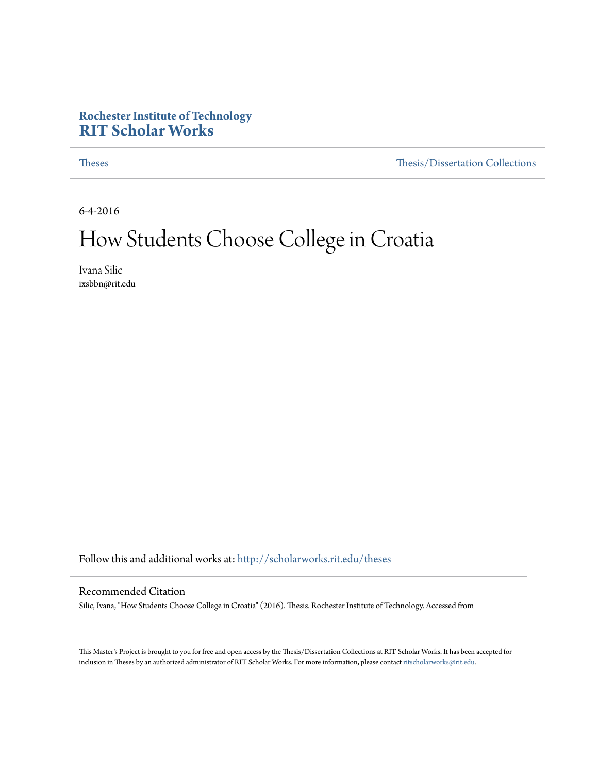#### **Rochester Institute of Technology [RIT Scholar Works](http://scholarworks.rit.edu?utm_source=scholarworks.rit.edu%2Ftheses%2F9373&utm_medium=PDF&utm_campaign=PDFCoverPages)**

[Theses](http://scholarworks.rit.edu/theses?utm_source=scholarworks.rit.edu%2Ftheses%2F9373&utm_medium=PDF&utm_campaign=PDFCoverPages) [Thesis/Dissertation Collections](http://scholarworks.rit.edu/etd_collections?utm_source=scholarworks.rit.edu%2Ftheses%2F9373&utm_medium=PDF&utm_campaign=PDFCoverPages)

6-4-2016

## How Students Choose College in Croatia

Ivana Silic ixsbbn@rit.edu

Follow this and additional works at: [http://scholarworks.rit.edu/theses](http://scholarworks.rit.edu/theses?utm_source=scholarworks.rit.edu%2Ftheses%2F9373&utm_medium=PDF&utm_campaign=PDFCoverPages)

#### Recommended Citation

Silic, Ivana, "How Students Choose College in Croatia" (2016). Thesis. Rochester Institute of Technology. Accessed from

This Master's Project is brought to you for free and open access by the Thesis/Dissertation Collections at RIT Scholar Works. It has been accepted for inclusion in Theses by an authorized administrator of RIT Scholar Works. For more information, please contact [ritscholarworks@rit.edu](mailto:ritscholarworks@rit.edu).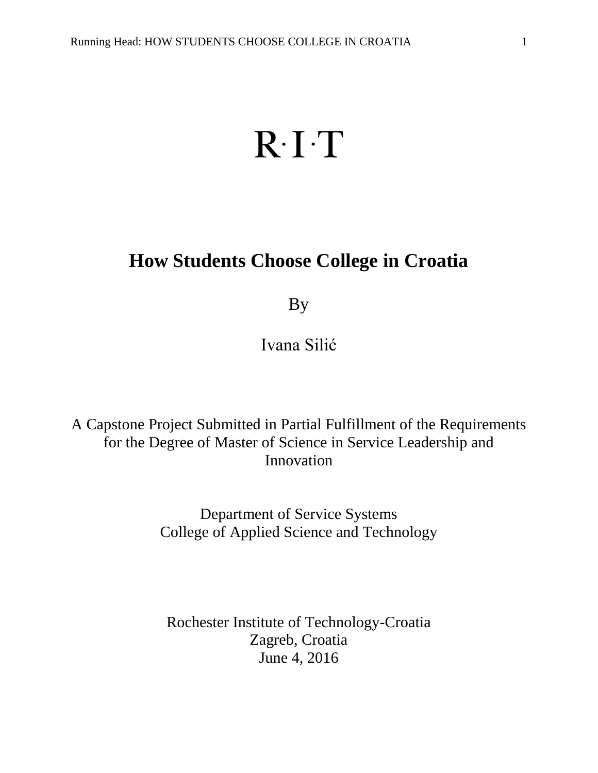# $R \cdot I \cdot T$

## **How Students Choose College in Croatia**

By

Ivana Silić

A Capstone Project Submitted in Partial Fulfillment of the Requirements for the Degree of Master of Science in Service Leadership and Innovation

> Department of Service Systems College of Applied Science and Technology

Rochester Institute of Technology-Croatia Zagreb, Croatia June 4, 2016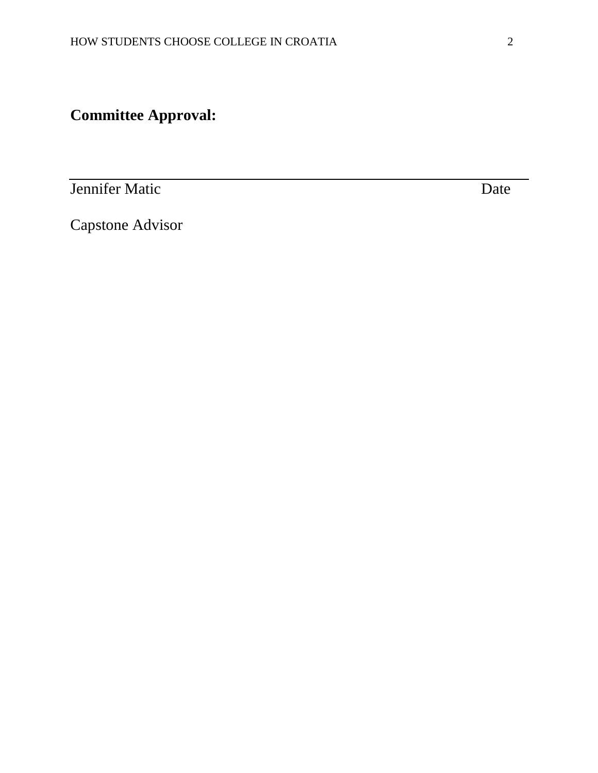## **Committee Approval:**

**Jennifer Matic** Date Date

Capstone Advisor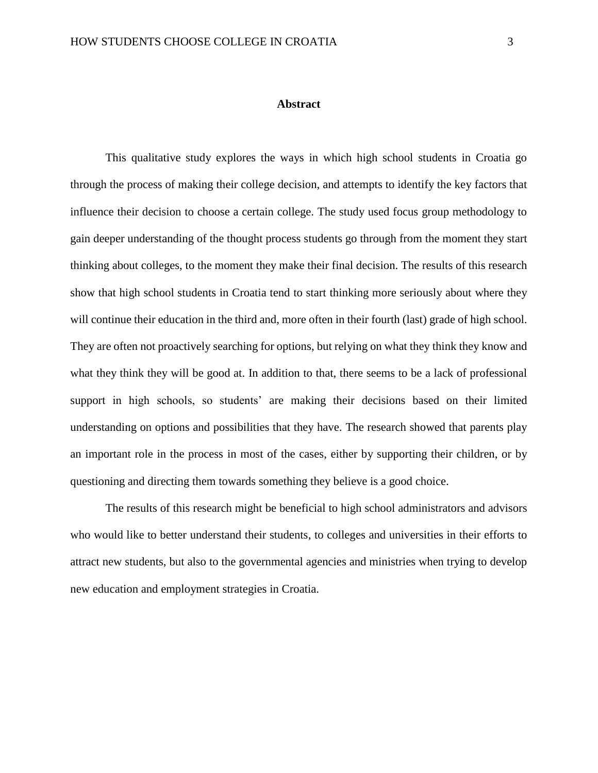#### **Abstract**

This qualitative study explores the ways in which high school students in Croatia go through the process of making their college decision, and attempts to identify the key factors that influence their decision to choose a certain college. The study used focus group methodology to gain deeper understanding of the thought process students go through from the moment they start thinking about colleges, to the moment they make their final decision. The results of this research show that high school students in Croatia tend to start thinking more seriously about where they will continue their education in the third and, more often in their fourth (last) grade of high school. They are often not proactively searching for options, but relying on what they think they know and what they think they will be good at. In addition to that, there seems to be a lack of professional support in high schools, so students' are making their decisions based on their limited understanding on options and possibilities that they have. The research showed that parents play an important role in the process in most of the cases, either by supporting their children, or by questioning and directing them towards something they believe is a good choice.

The results of this research might be beneficial to high school administrators and advisors who would like to better understand their students, to colleges and universities in their efforts to attract new students, but also to the governmental agencies and ministries when trying to develop new education and employment strategies in Croatia.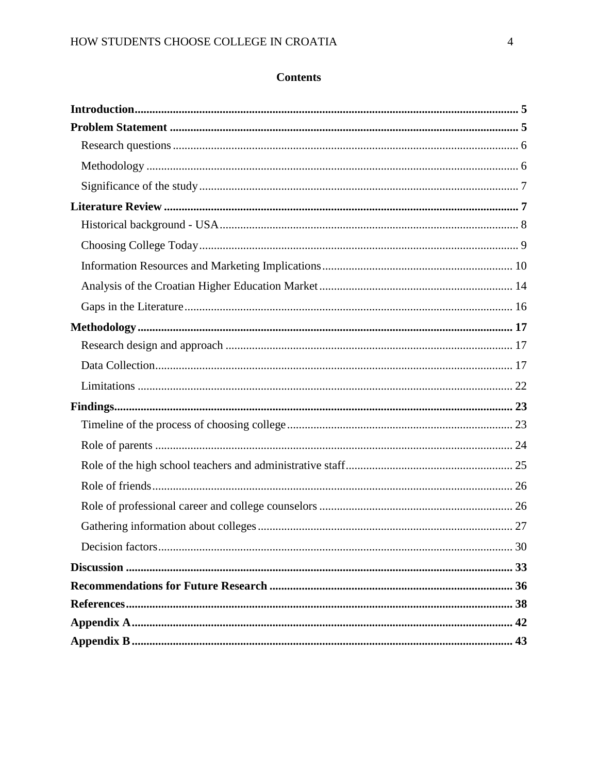#### **Contents**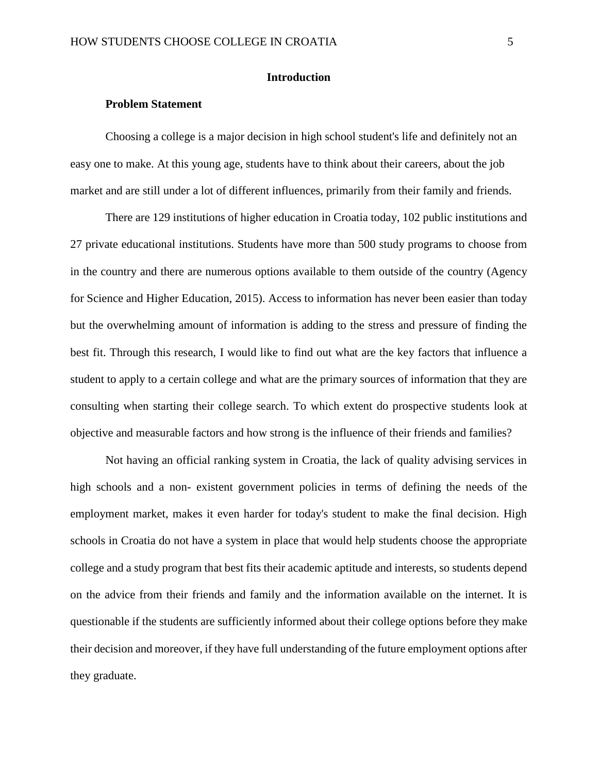#### <span id="page-5-0"></span>**Introduction**

#### **Problem Statement**

<span id="page-5-1"></span>Choosing a college is a major decision in high school student's life and definitely not an easy one to make. At this young age, students have to think about their careers, about the job market and are still under a lot of different influences, primarily from their family and friends.

There are 129 institutions of higher education in Croatia today, 102 public institutions and 27 private educational institutions. Students have more than 500 study programs to choose from in the country and there are numerous options available to them outside of the country (Agency for Science and Higher Education, 2015). Access to information has never been easier than today but the overwhelming amount of information is adding to the stress and pressure of finding the best fit. Through this research, I would like to find out what are the key factors that influence a student to apply to a certain college and what are the primary sources of information that they are consulting when starting their college search. To which extent do prospective students look at objective and measurable factors and how strong is the influence of their friends and families?

Not having an official ranking system in Croatia, the lack of quality advising services in high schools and a non- existent government policies in terms of defining the needs of the employment market, makes it even harder for today's student to make the final decision. High schools in Croatia do not have a system in place that would help students choose the appropriate college and a study program that best fits their academic aptitude and interests, so students depend on the advice from their friends and family and the information available on the internet. It is questionable if the students are sufficiently informed about their college options before they make their decision and moreover, if they have full understanding of the future employment options after they graduate.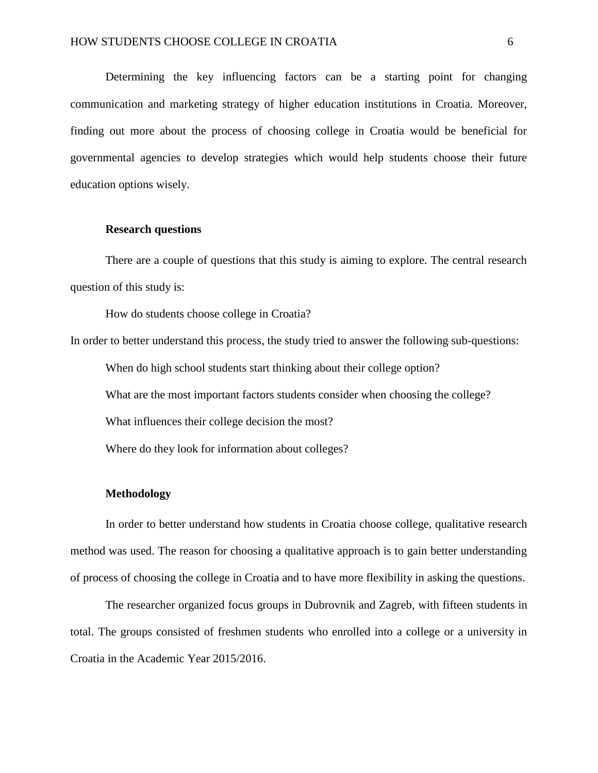Determining the key influencing factors can be a starting point for changing communication and marketing strategy of higher education institutions in Croatia. Moreover, finding out more about the process of choosing college in Croatia would be beneficial for governmental agencies to develop strategies which would help students choose their future education options wisely.

#### <span id="page-6-0"></span>**Research questions**

There are a couple of questions that this study is aiming to explore. The central research question of this study is:

How do students choose college in Croatia?

In order to better understand this process, the study tried to answer the following sub-questions:

When do high school students start thinking about their college option?

What are the most important factors students consider when choosing the college?

What influences their college decision the most?

Where do they look for information about colleges?

#### <span id="page-6-1"></span>**Methodology**

In order to better understand how students in Croatia choose college, qualitative research method was used. The reason for choosing a qualitative approach is to gain better understanding of process of choosing the college in Croatia and to have more flexibility in asking the questions.

The researcher organized focus groups in Dubrovnik and Zagreb, with fifteen students in total. The groups consisted of freshmen students who enrolled into a college or a university in Croatia in the Academic Year 2015/2016.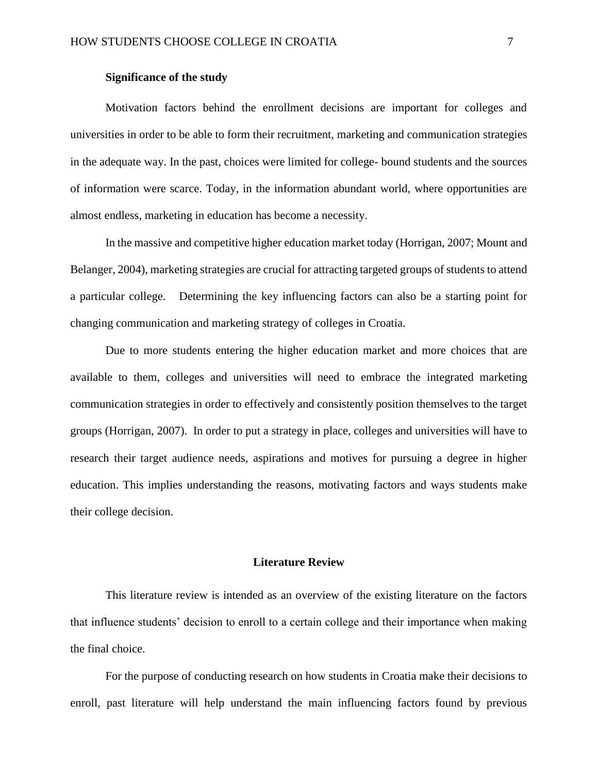#### **Significance of the study**

<span id="page-7-0"></span>Motivation factors behind the enrollment decisions are important for colleges and universities in order to be able to form their recruitment, marketing and communication strategies in the adequate way. In the past, choices were limited for college- bound students and the sources of information were scarce. Today, in the information abundant world, where opportunities are almost endless, marketing in education has become a necessity.

In the massive and competitive higher education market today (Horrigan, 2007; Mount and Belanger, 2004), marketing strategies are crucial for attracting targeted groups of students to attend a particular college. Determining the key influencing factors can also be a starting point for changing communication and marketing strategy of colleges in Croatia.

Due to more students entering the higher education market and more choices that are available to them, colleges and universities will need to embrace the integrated marketing communication strategies in order to effectively and consistently position themselves to the target groups (Horrigan, 2007). In order to put a strategy in place, colleges and universities will have to research their target audience needs, aspirations and motives for pursuing a degree in higher education. This implies understanding the reasons, motivating factors and ways students make their college decision.

#### **Literature Review**

<span id="page-7-1"></span>This literature review is intended as an overview of the existing literature on the factors that influence students' decision to enroll to a certain college and their importance when making the final choice.

For the purpose of conducting research on how students in Croatia make their decisions to enroll, past literature will help understand the main influencing factors found by previous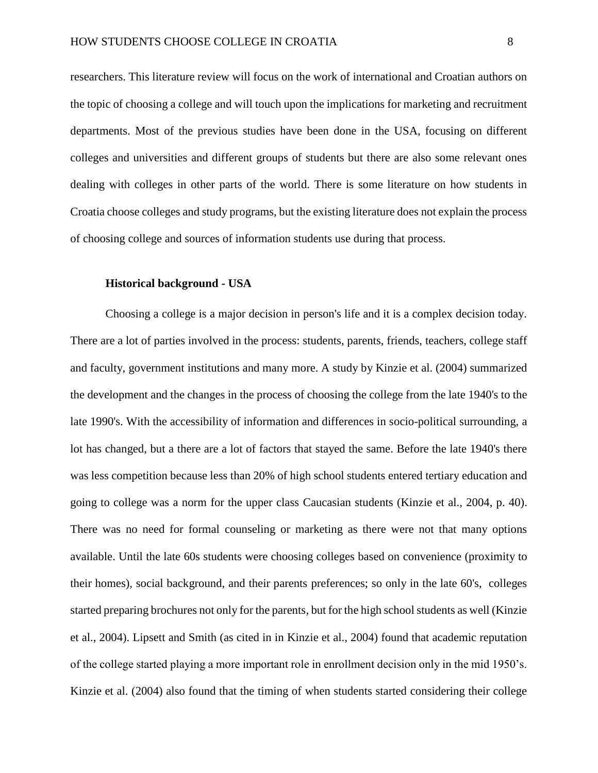researchers. This literature review will focus on the work of international and Croatian authors on the topic of choosing a college and will touch upon the implications for marketing and recruitment departments. Most of the previous studies have been done in the USA, focusing on different colleges and universities and different groups of students but there are also some relevant ones dealing with colleges in other parts of the world. There is some literature on how students in Croatia choose colleges and study programs, but the existing literature does not explain the process of choosing college and sources of information students use during that process.

#### <span id="page-8-0"></span>**Historical background - USA**

Choosing a college is a major decision in person's life and it is a complex decision today. There are a lot of parties involved in the process: students, parents, friends, teachers, college staff and faculty, government institutions and many more. A study by Kinzie et al. (2004) summarized the development and the changes in the process of choosing the college from the late 1940's to the late 1990's. With the accessibility of information and differences in socio-political surrounding, a lot has changed, but a there are a lot of factors that stayed the same. Before the late 1940's there was less competition because less than 20% of high school students entered tertiary education and going to college was a norm for the upper class Caucasian students (Kinzie et al., 2004, p. 40). There was no need for formal counseling or marketing as there were not that many options available. Until the late 60s students were choosing colleges based on convenience (proximity to their homes), social background, and their parents preferences; so only in the late 60's, colleges started preparing brochures not only for the parents, but for the high school students as well (Kinzie et al., 2004). Lipsett and Smith (as cited in in Kinzie et al., 2004) found that academic reputation of the college started playing a more important role in enrollment decision only in the mid 1950's. Kinzie et al. (2004) also found that the timing of when students started considering their college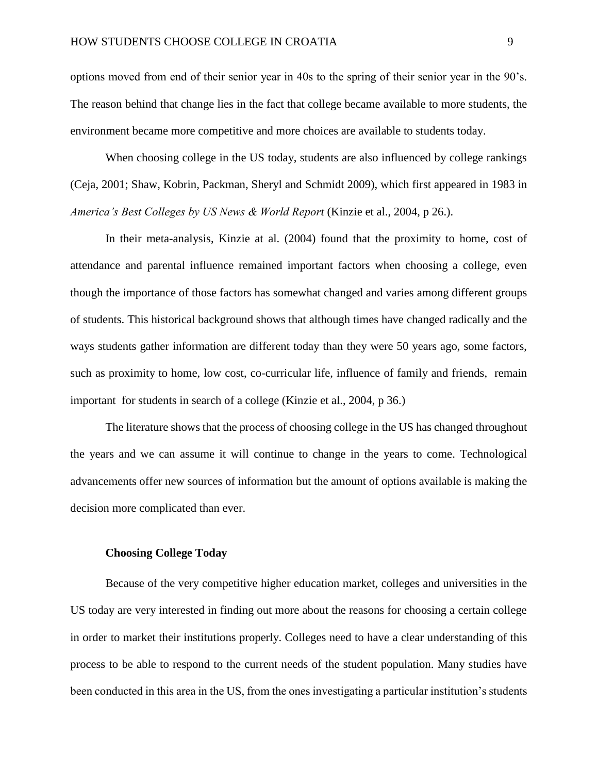options moved from end of their senior year in 40s to the spring of their senior year in the 90's. The reason behind that change lies in the fact that college became available to more students, the environment became more competitive and more choices are available to students today.

When choosing college in the US today, students are also influenced by college rankings (Ceja, 2001; Shaw, Kobrin, Packman, Sheryl and Schmidt 2009), which first appeared in 1983 in *America's Best Colleges by US News & World Report (Kinzie et al., 2004, p 26.).* 

In their meta-analysis, Kinzie at al. (2004) found that the proximity to home, cost of attendance and parental influence remained important factors when choosing a college, even though the importance of those factors has somewhat changed and varies among different groups of students. This historical background shows that although times have changed radically and the ways students gather information are different today than they were 50 years ago, some factors, such as proximity to home, low cost, co-curricular life, influence of family and friends, remain important for students in search of a college (Kinzie et al., 2004, p 36.)

The literature shows that the process of choosing college in the US has changed throughout the years and we can assume it will continue to change in the years to come. Technological advancements offer new sources of information but the amount of options available is making the decision more complicated than ever.

#### <span id="page-9-0"></span>**Choosing College Today**

Because of the very competitive higher education market, colleges and universities in the US today are very interested in finding out more about the reasons for choosing a certain college in order to market their institutions properly. Colleges need to have a clear understanding of this process to be able to respond to the current needs of the student population. Many studies have been conducted in this area in the US, from the ones investigating a particular institution's students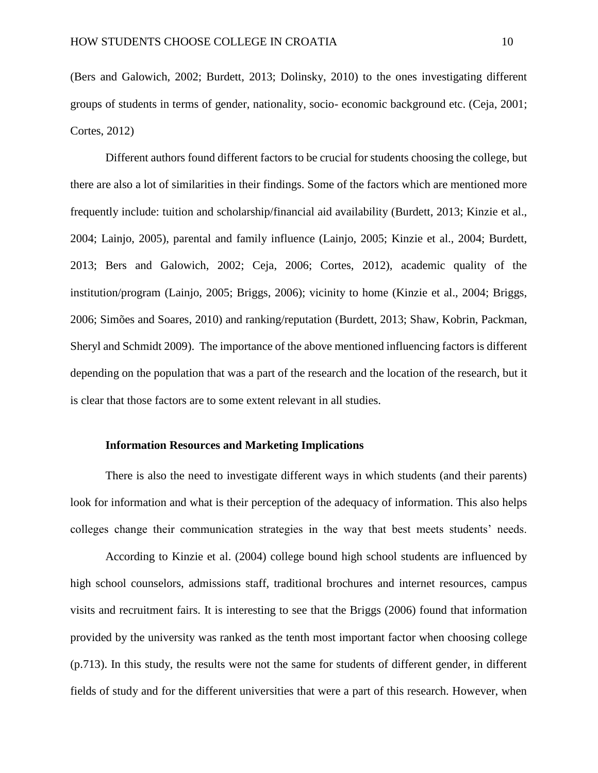(Bers and Galowich, 2002; Burdett, 2013; Dolinsky, 2010) to the ones investigating different groups of students in terms of gender, nationality, socio- economic background etc. (Ceja, 2001; Cortes, 2012)

Different authors found different factors to be crucial for students choosing the college, but there are also a lot of similarities in their findings. Some of the factors which are mentioned more frequently include: tuition and scholarship/financial aid availability (Burdett, 2013; Kinzie et al., 2004; Lainjo, 2005), parental and family influence (Lainjo, 2005; Kinzie et al., 2004; Burdett, 2013; Bers and Galowich, 2002; Ceja, 2006; Cortes, 2012), academic quality of the institution/program (Lainjo, 2005; Briggs, 2006); vicinity to home (Kinzie et al., 2004; Briggs, 2006; Simões and Soares, 2010) and ranking/reputation (Burdett, 2013; Shaw, Kobrin, Packman, Sheryl and Schmidt 2009). The importance of the above mentioned influencing factors is different depending on the population that was a part of the research and the location of the research, but it is clear that those factors are to some extent relevant in all studies.

#### <span id="page-10-0"></span>**Information Resources and Marketing Implications**

There is also the need to investigate different ways in which students (and their parents) look for information and what is their perception of the adequacy of information. This also helps colleges change their communication strategies in the way that best meets students' needs.

According to Kinzie et al. (2004) college bound high school students are influenced by high school counselors, admissions staff, traditional brochures and internet resources, campus visits and recruitment fairs. It is interesting to see that the Briggs (2006) found that information provided by the university was ranked as the tenth most important factor when choosing college (p.713). In this study, the results were not the same for students of different gender, in different fields of study and for the different universities that were a part of this research. However, when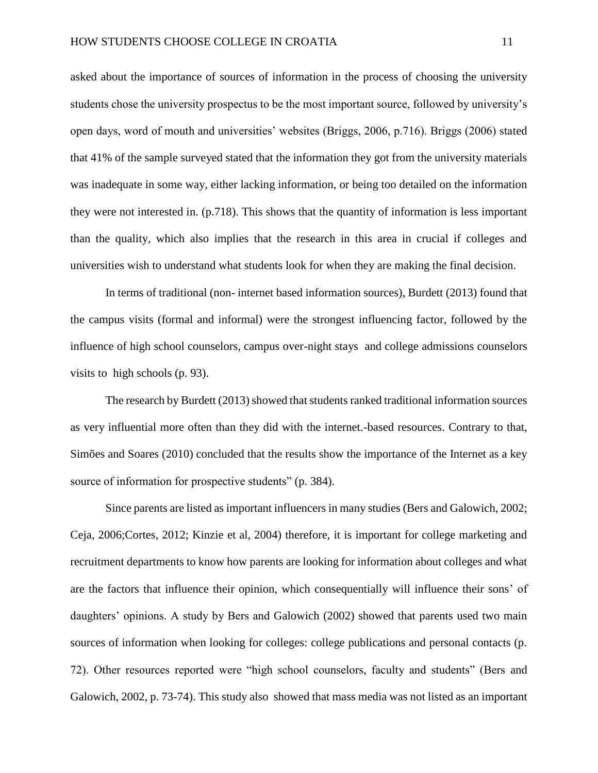asked about the importance of sources of information in the process of choosing the university students chose the university prospectus to be the most important source, followed by university's open days, word of mouth and universities' websites (Briggs, 2006, p.716). Briggs (2006) stated that 41% of the sample surveyed stated that the information they got from the university materials was inadequate in some way, either lacking information, or being too detailed on the information they were not interested in. (p.718). This shows that the quantity of information is less important than the quality, which also implies that the research in this area in crucial if colleges and universities wish to understand what students look for when they are making the final decision.

In terms of traditional (non- internet based information sources), Burdett (2013) found that the campus visits (formal and informal) were the strongest influencing factor, followed by the influence of high school counselors, campus over-night stays and college admissions counselors visits to high schools (p. 93).

The research by Burdett (2013) showed that students ranked traditional information sources as very influential more often than they did with the internet.-based resources. Contrary to that, Simões and Soares (2010) concluded that the results show the importance of the Internet as a key source of information for prospective students" (p. 384).

Since parents are listed as important influencers in many studies (Bers and Galowich, 2002; Ceja, 2006;Cortes, 2012; Kinzie et al, 2004) therefore, it is important for college marketing and recruitment departments to know how parents are looking for information about colleges and what are the factors that influence their opinion, which consequentially will influence their sons' of daughters' opinions. A study by Bers and Galowich (2002) showed that parents used two main sources of information when looking for colleges: college publications and personal contacts (p. 72). Other resources reported were "high school counselors, faculty and students" (Bers and Galowich, 2002, p. 73-74). This study also showed that mass media was not listed as an important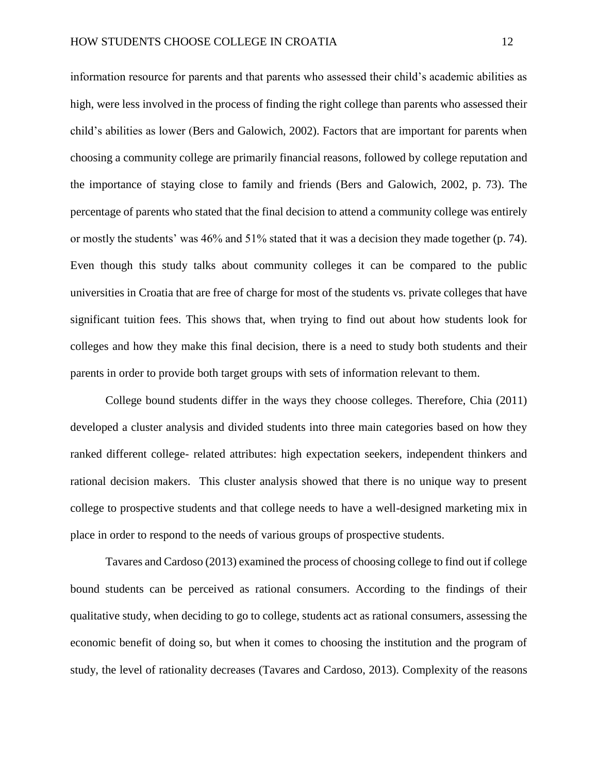information resource for parents and that parents who assessed their child's academic abilities as high, were less involved in the process of finding the right college than parents who assessed their child's abilities as lower (Bers and Galowich, 2002). Factors that are important for parents when choosing a community college are primarily financial reasons, followed by college reputation and the importance of staying close to family and friends (Bers and Galowich, 2002, p. 73). The percentage of parents who stated that the final decision to attend a community college was entirely or mostly the students' was 46% and 51% stated that it was a decision they made together (p. 74). Even though this study talks about community colleges it can be compared to the public universities in Croatia that are free of charge for most of the students vs. private colleges that have significant tuition fees. This shows that, when trying to find out about how students look for colleges and how they make this final decision, there is a need to study both students and their parents in order to provide both target groups with sets of information relevant to them.

College bound students differ in the ways they choose colleges. Therefore, Chia (2011) developed a cluster analysis and divided students into three main categories based on how they ranked different college- related attributes: high expectation seekers, independent thinkers and rational decision makers. This cluster analysis showed that there is no unique way to present college to prospective students and that college needs to have a well-designed marketing mix in place in order to respond to the needs of various groups of prospective students.

Tavares and Cardoso (2013) examined the process of choosing college to find out if college bound students can be perceived as rational consumers. According to the findings of their qualitative study, when deciding to go to college, students act as rational consumers, assessing the economic benefit of doing so, but when it comes to choosing the institution and the program of study, the level of rationality decreases (Tavares and Cardoso, 2013). Complexity of the reasons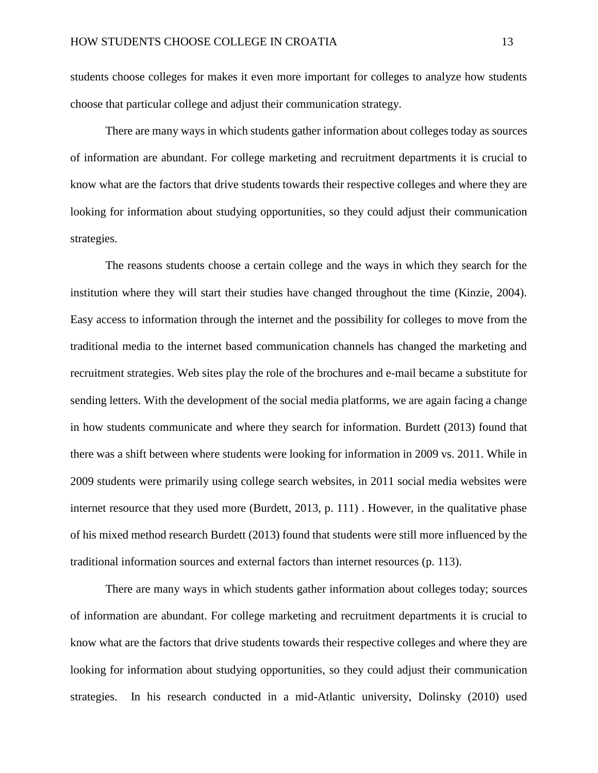students choose colleges for makes it even more important for colleges to analyze how students choose that particular college and adjust their communication strategy.

There are many ways in which students gather information about colleges today as sources of information are abundant. For college marketing and recruitment departments it is crucial to know what are the factors that drive students towards their respective colleges and where they are looking for information about studying opportunities, so they could adjust their communication strategies.

The reasons students choose a certain college and the ways in which they search for the institution where they will start their studies have changed throughout the time (Kinzie, 2004). Easy access to information through the internet and the possibility for colleges to move from the traditional media to the internet based communication channels has changed the marketing and recruitment strategies. Web sites play the role of the brochures and e-mail became a substitute for sending letters. With the development of the social media platforms, we are again facing a change in how students communicate and where they search for information. Burdett (2013) found that there was a shift between where students were looking for information in 2009 vs. 2011. While in 2009 students were primarily using college search websites, in 2011 social media websites were internet resource that they used more (Burdett, 2013, p. 111) . However, in the qualitative phase of his mixed method research Burdett (2013) found that students were still more influenced by the traditional information sources and external factors than internet resources (p. 113).

There are many ways in which students gather information about colleges today; sources of information are abundant. For college marketing and recruitment departments it is crucial to know what are the factors that drive students towards their respective colleges and where they are looking for information about studying opportunities, so they could adjust their communication strategies. In his research conducted in a mid-Atlantic university, Dolinsky (2010) used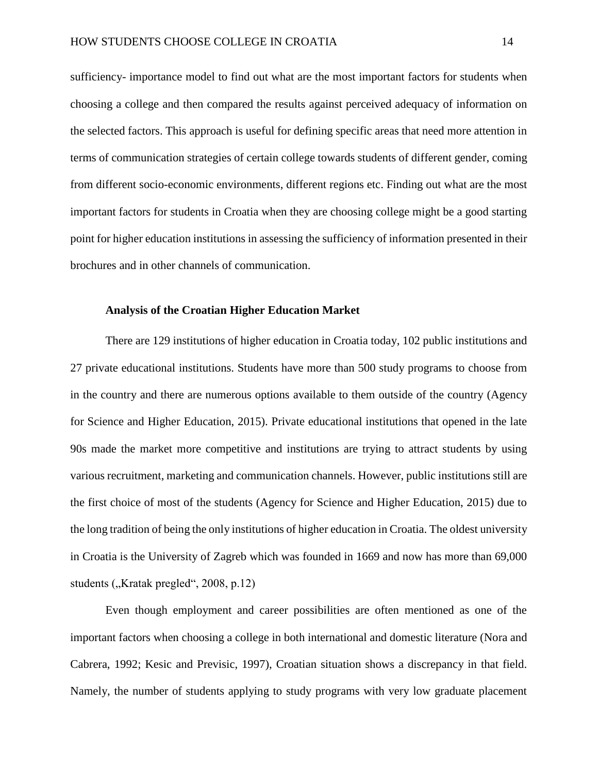sufficiency- importance model to find out what are the most important factors for students when choosing a college and then compared the results against perceived adequacy of information on the selected factors. This approach is useful for defining specific areas that need more attention in terms of communication strategies of certain college towards students of different gender, coming from different socio-economic environments, different regions etc. Finding out what are the most important factors for students in Croatia when they are choosing college might be a good starting point for higher education institutions in assessing the sufficiency of information presented in their brochures and in other channels of communication.

#### <span id="page-14-0"></span>**Analysis of the Croatian Higher Education Market**

There are 129 institutions of higher education in Croatia today, 102 public institutions and 27 private educational institutions. Students have more than 500 study programs to choose from in the country and there are numerous options available to them outside of the country (Agency for Science and Higher Education, 2015). Private educational institutions that opened in the late 90s made the market more competitive and institutions are trying to attract students by using various recruitment, marketing and communication channels. However, public institutions still are the first choice of most of the students (Agency for Science and Higher Education, 2015) due to the long tradition of being the only institutions of higher education in Croatia. The oldest university in Croatia is the University of Zagreb which was founded in 1669 and now has more than 69,000 students  $($ "Kratak pregled", 2008, p.12)

Even though employment and career possibilities are often mentioned as one of the important factors when choosing a college in both international and domestic literature (Nora and Cabrera, 1992; Kesic and Previsic, 1997), Croatian situation shows a discrepancy in that field. Namely, the number of students applying to study programs with very low graduate placement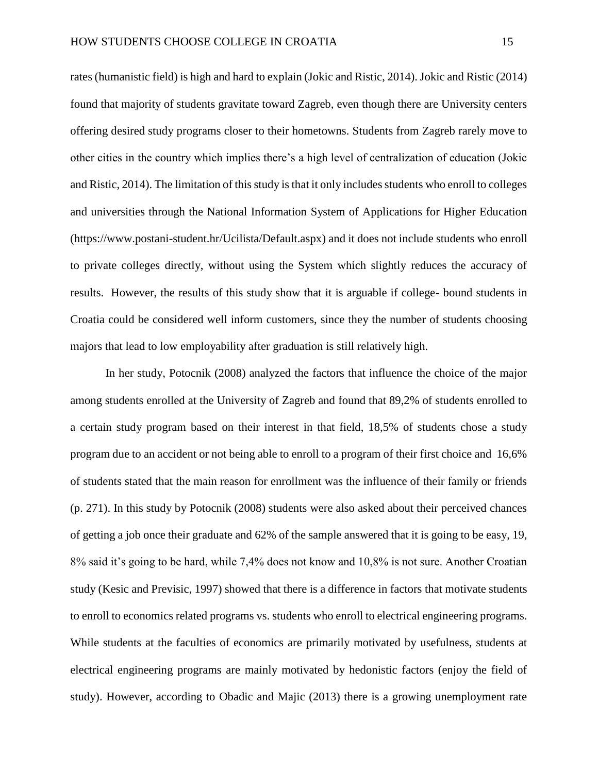rates (humanistic field) is high and hard to explain (Jokic and Ristic, 2014). Jokic and Ristic (2014) found that majority of students gravitate toward Zagreb, even though there are University centers offering desired study programs closer to their hometowns. Students from Zagreb rarely move to other cities in the country which implies there's a high level of centralization of education (Jokic and Ristic, 2014). The limitation of this study is that it only includes students who enroll to colleges and universities through the National Information System of Applications for Higher Education [\(https://www.postani-student.hr/Ucilista/Default.aspx\)](https://www.postani-student.hr/Ucilista/Default.aspx) and it does not include students who enroll to private colleges directly, without using the System which slightly reduces the accuracy of results. However, the results of this study show that it is arguable if college- bound students in Croatia could be considered well inform customers, since they the number of students choosing majors that lead to low employability after graduation is still relatively high.

In her study, Potocnik (2008) analyzed the factors that influence the choice of the major among students enrolled at the University of Zagreb and found that 89,2% of students enrolled to a certain study program based on their interest in that field, 18,5% of students chose a study program due to an accident or not being able to enroll to a program of their first choice and 16,6% of students stated that the main reason for enrollment was the influence of their family or friends (p. 271). In this study by Potocnik (2008) students were also asked about their perceived chances of getting a job once their graduate and 62% of the sample answered that it is going to be easy, 19, 8% said it's going to be hard, while 7,4% does not know and 10,8% is not sure. Another Croatian study (Kesic and Previsic, 1997) showed that there is a difference in factors that motivate students to enroll to economics related programs vs. students who enroll to electrical engineering programs. While students at the faculties of economics are primarily motivated by usefulness, students at electrical engineering programs are mainly motivated by hedonistic factors (enjoy the field of study). However, according to Obadic and Majic (2013) there is a growing unemployment rate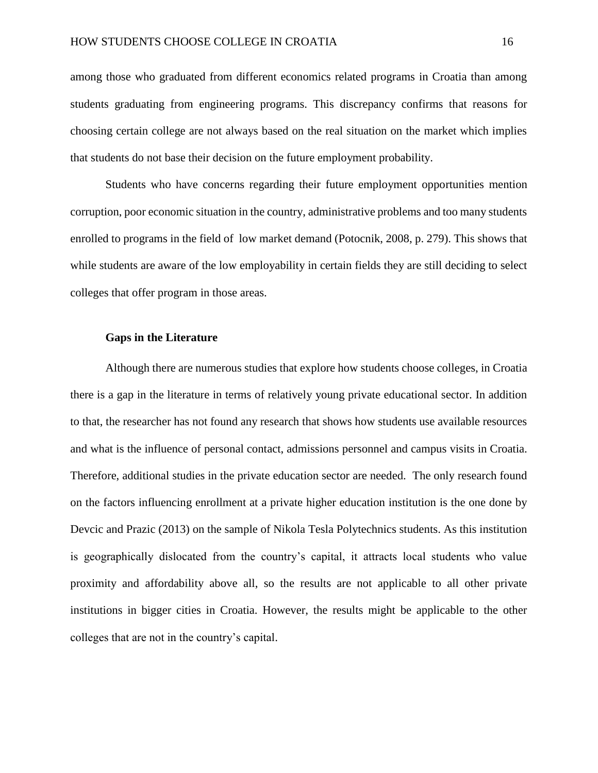among those who graduated from different economics related programs in Croatia than among students graduating from engineering programs. This discrepancy confirms that reasons for choosing certain college are not always based on the real situation on the market which implies that students do not base their decision on the future employment probability.

Students who have concerns regarding their future employment opportunities mention corruption, poor economic situation in the country, administrative problems and too many students enrolled to programs in the field of low market demand (Potocnik, 2008, p. 279). This shows that while students are aware of the low employability in certain fields they are still deciding to select colleges that offer program in those areas.

#### <span id="page-16-0"></span>**Gaps in the Literature**

Although there are numerous studies that explore how students choose colleges, in Croatia there is a gap in the literature in terms of relatively young private educational sector. In addition to that, the researcher has not found any research that shows how students use available resources and what is the influence of personal contact, admissions personnel and campus visits in Croatia. Therefore, additional studies in the private education sector are needed. The only research found on the factors influencing enrollment at a private higher education institution is the one done by Devcic and Prazic (2013) on the sample of Nikola Tesla Polytechnics students. As this institution is geographically dislocated from the country's capital, it attracts local students who value proximity and affordability above all, so the results are not applicable to all other private institutions in bigger cities in Croatia. However, the results might be applicable to the other colleges that are not in the country's capital.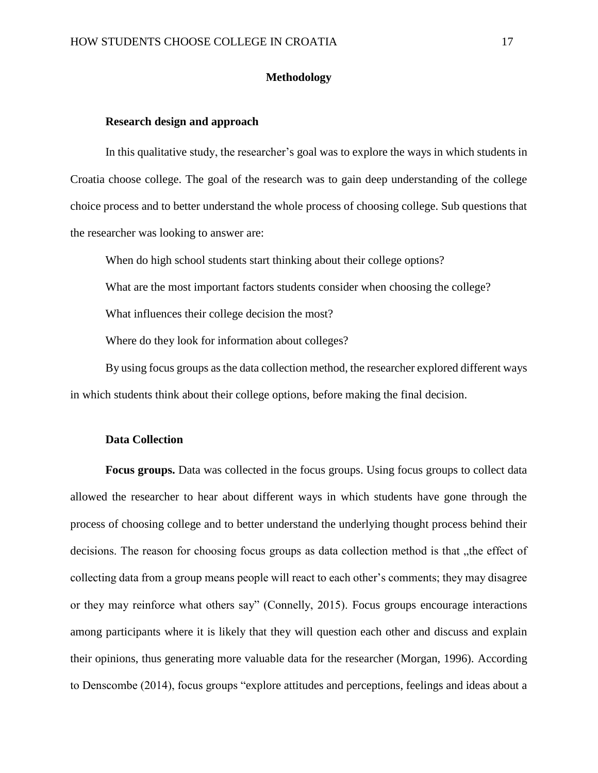#### **Methodology**

#### <span id="page-17-1"></span><span id="page-17-0"></span>**Research design and approach**

In this qualitative study, the researcher's goal was to explore the ways in which students in Croatia choose college. The goal of the research was to gain deep understanding of the college choice process and to better understand the whole process of choosing college. Sub questions that the researcher was looking to answer are:

When do high school students start thinking about their college options?

What are the most important factors students consider when choosing the college?

What influences their college decision the most?

Where do they look for information about colleges?

By using focus groups as the data collection method, the researcher explored different ways in which students think about their college options, before making the final decision.

#### <span id="page-17-2"></span>**Data Collection**

**Focus groups.** Data was collected in the focus groups. Using focus groups to collect data allowed the researcher to hear about different ways in which students have gone through the process of choosing college and to better understand the underlying thought process behind their decisions. The reason for choosing focus groups as data collection method is that the effect of collecting data from a group means people will react to each other's comments; they may disagree or they may reinforce what others say" (Connelly, 2015). Focus groups encourage interactions among participants where it is likely that they will question each other and discuss and explain their opinions, thus generating more valuable data for the researcher (Morgan, 1996). According to Denscombe (2014), focus groups "explore attitudes and perceptions, feelings and ideas about a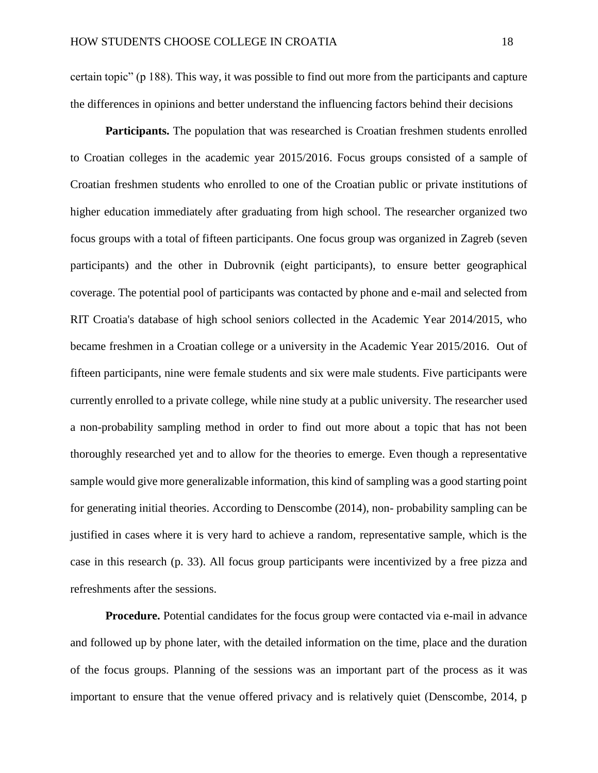certain topic" (p 188). This way, it was possible to find out more from the participants and capture the differences in opinions and better understand the influencing factors behind their decisions

**Participants.** The population that was researched is Croatian freshmen students enrolled to Croatian colleges in the academic year 2015/2016. Focus groups consisted of a sample of Croatian freshmen students who enrolled to one of the Croatian public or private institutions of higher education immediately after graduating from high school. The researcher organized two focus groups with a total of fifteen participants. One focus group was organized in Zagreb (seven participants) and the other in Dubrovnik (eight participants), to ensure better geographical coverage. The potential pool of participants was contacted by phone and e-mail and selected from RIT Croatia's database of high school seniors collected in the Academic Year 2014/2015, who became freshmen in a Croatian college or a university in the Academic Year 2015/2016. Out of fifteen participants, nine were female students and six were male students. Five participants were currently enrolled to a private college, while nine study at a public university. The researcher used a non-probability sampling method in order to find out more about a topic that has not been thoroughly researched yet and to allow for the theories to emerge. Even though a representative sample would give more generalizable information, this kind of sampling was a good starting point for generating initial theories. According to Denscombe (2014), non- probability sampling can be justified in cases where it is very hard to achieve a random, representative sample, which is the case in this research (p. 33). All focus group participants were incentivized by a free pizza and refreshments after the sessions.

**Procedure.** Potential candidates for the focus group were contacted via e-mail in advance and followed up by phone later, with the detailed information on the time, place and the duration of the focus groups. Planning of the sessions was an important part of the process as it was important to ensure that the venue offered privacy and is relatively quiet (Denscombe, 2014, p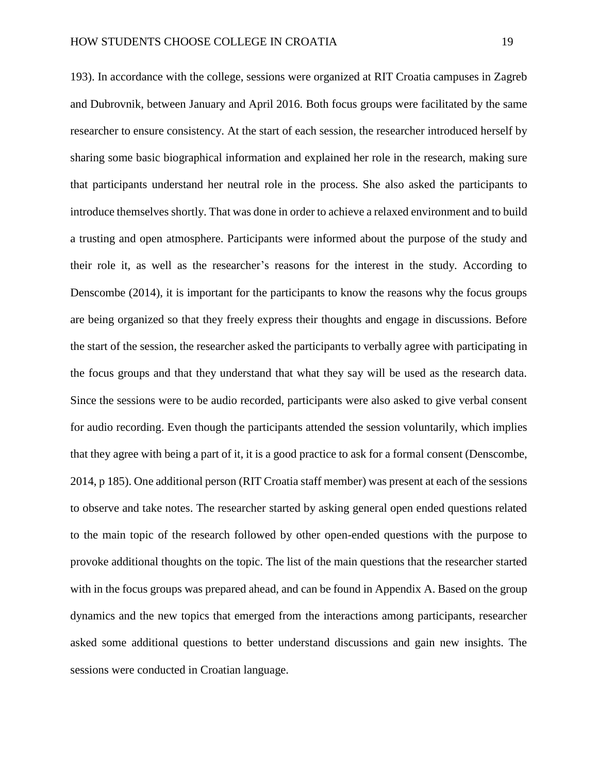193). In accordance with the college, sessions were organized at RIT Croatia campuses in Zagreb and Dubrovnik, between January and April 2016. Both focus groups were facilitated by the same researcher to ensure consistency. At the start of each session, the researcher introduced herself by sharing some basic biographical information and explained her role in the research, making sure that participants understand her neutral role in the process. She also asked the participants to introduce themselves shortly. That was done in order to achieve a relaxed environment and to build a trusting and open atmosphere. Participants were informed about the purpose of the study and their role it, as well as the researcher's reasons for the interest in the study. According to Denscombe (2014), it is important for the participants to know the reasons why the focus groups are being organized so that they freely express their thoughts and engage in discussions. Before the start of the session, the researcher asked the participants to verbally agree with participating in the focus groups and that they understand that what they say will be used as the research data. Since the sessions were to be audio recorded, participants were also asked to give verbal consent for audio recording. Even though the participants attended the session voluntarily, which implies that they agree with being a part of it, it is a good practice to ask for a formal consent (Denscombe, 2014, p 185). One additional person (RIT Croatia staff member) was present at each of the sessions to observe and take notes. The researcher started by asking general open ended questions related to the main topic of the research followed by other open-ended questions with the purpose to provoke additional thoughts on the topic. The list of the main questions that the researcher started with in the focus groups was prepared ahead, and can be found in Appendix A. Based on the group dynamics and the new topics that emerged from the interactions among participants, researcher asked some additional questions to better understand discussions and gain new insights. The sessions were conducted in Croatian language.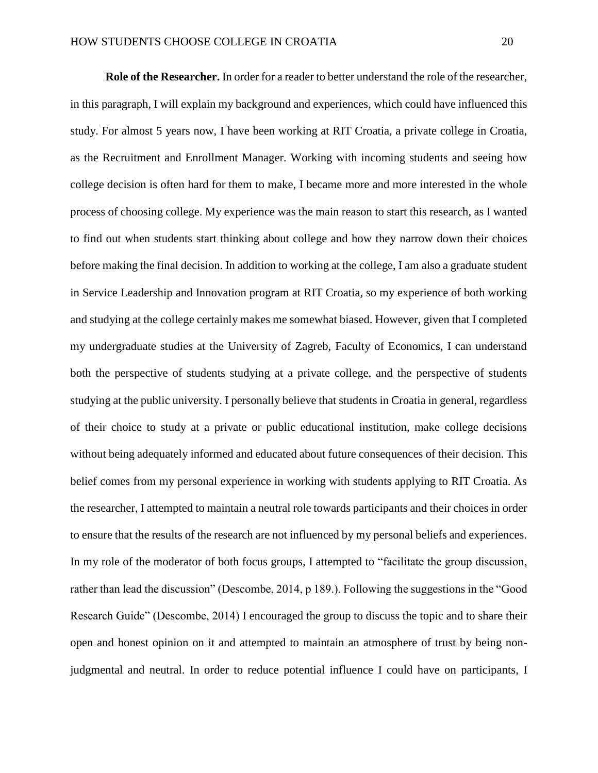**Role of the Researcher.** In order for a reader to better understand the role of the researcher, in this paragraph, I will explain my background and experiences, which could have influenced this study. For almost 5 years now, I have been working at RIT Croatia, a private college in Croatia, as the Recruitment and Enrollment Manager. Working with incoming students and seeing how college decision is often hard for them to make, I became more and more interested in the whole process of choosing college. My experience was the main reason to start this research, as I wanted to find out when students start thinking about college and how they narrow down their choices before making the final decision. In addition to working at the college, I am also a graduate student in Service Leadership and Innovation program at RIT Croatia, so my experience of both working and studying at the college certainly makes me somewhat biased. However, given that I completed my undergraduate studies at the University of Zagreb, Faculty of Economics, I can understand both the perspective of students studying at a private college, and the perspective of students studying at the public university. I personally believe that students in Croatia in general, regardless of their choice to study at a private or public educational institution, make college decisions without being adequately informed and educated about future consequences of their decision. This belief comes from my personal experience in working with students applying to RIT Croatia. As the researcher, I attempted to maintain a neutral role towards participants and their choices in order to ensure that the results of the research are not influenced by my personal beliefs and experiences. In my role of the moderator of both focus groups, I attempted to "facilitate the group discussion, rather than lead the discussion" (Descombe, 2014, p 189.). Following the suggestions in the "Good Research Guide" (Descombe, 2014) I encouraged the group to discuss the topic and to share their open and honest opinion on it and attempted to maintain an atmosphere of trust by being nonjudgmental and neutral. In order to reduce potential influence I could have on participants, I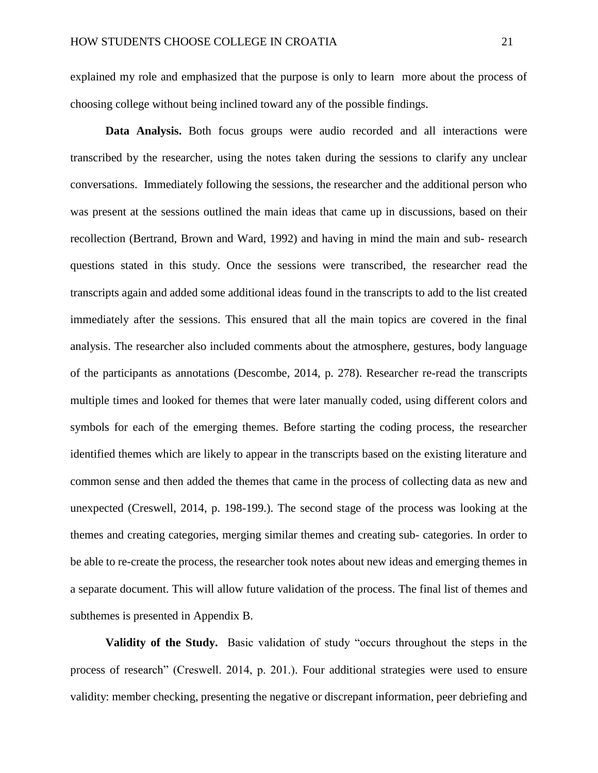explained my role and emphasized that the purpose is only to learn more about the process of choosing college without being inclined toward any of the possible findings.

**Data Analysis.** Both focus groups were audio recorded and all interactions were transcribed by the researcher, using the notes taken during the sessions to clarify any unclear conversations. Immediately following the sessions, the researcher and the additional person who was present at the sessions outlined the main ideas that came up in discussions, based on their recollection (Bertrand, Brown and Ward, 1992) and having in mind the main and sub- research questions stated in this study. Once the sessions were transcribed, the researcher read the transcripts again and added some additional ideas found in the transcripts to add to the list created immediately after the sessions. This ensured that all the main topics are covered in the final analysis. The researcher also included comments about the atmosphere, gestures, body language of the participants as annotations (Descombe, 2014, p. 278). Researcher re-read the transcripts multiple times and looked for themes that were later manually coded, using different colors and symbols for each of the emerging themes. Before starting the coding process, the researcher identified themes which are likely to appear in the transcripts based on the existing literature and common sense and then added the themes that came in the process of collecting data as new and unexpected (Creswell, 2014, p. 198-199.). The second stage of the process was looking at the themes and creating categories, merging similar themes and creating sub- categories. In order to be able to re-create the process, the researcher took notes about new ideas and emerging themes in a separate document. This will allow future validation of the process. The final list of themes and subthemes is presented in Appendix B.

**Validity of the Study.** Basic validation of study "occurs throughout the steps in the process of research" (Creswell. 2014, p. 201.). Four additional strategies were used to ensure validity: member checking, presenting the negative or discrepant information, peer debriefing and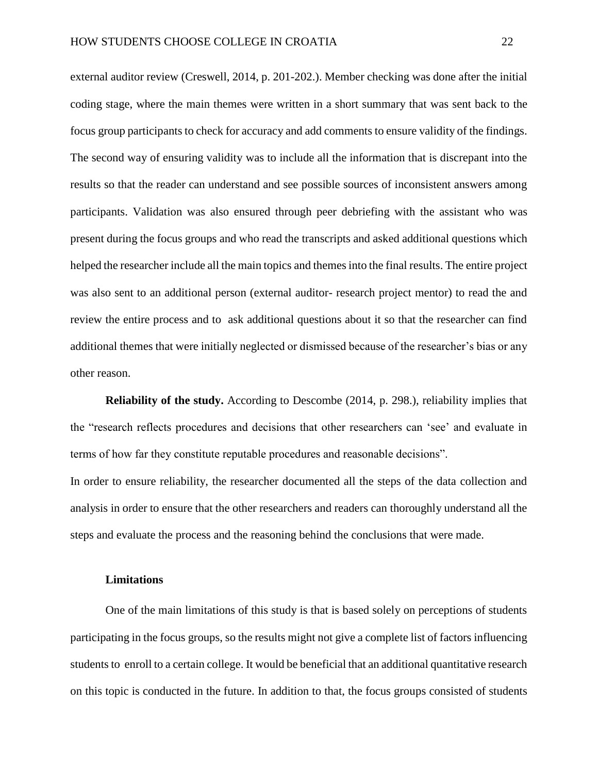external auditor review (Creswell, 2014, p. 201-202.). Member checking was done after the initial coding stage, where the main themes were written in a short summary that was sent back to the focus group participants to check for accuracy and add comments to ensure validity of the findings. The second way of ensuring validity was to include all the information that is discrepant into the results so that the reader can understand and see possible sources of inconsistent answers among participants. Validation was also ensured through peer debriefing with the assistant who was present during the focus groups and who read the transcripts and asked additional questions which helped the researcher include all the main topics and themes into the final results. The entire project was also sent to an additional person (external auditor- research project mentor) to read the and review the entire process and to ask additional questions about it so that the researcher can find additional themes that were initially neglected or dismissed because of the researcher's bias or any other reason.

**Reliability of the study.** According to Descombe (2014, p. 298.), reliability implies that the "research reflects procedures and decisions that other researchers can 'see' and evaluate in terms of how far they constitute reputable procedures and reasonable decisions".

In order to ensure reliability, the researcher documented all the steps of the data collection and analysis in order to ensure that the other researchers and readers can thoroughly understand all the steps and evaluate the process and the reasoning behind the conclusions that were made.

#### <span id="page-22-0"></span>**Limitations**

One of the main limitations of this study is that is based solely on perceptions of students participating in the focus groups, so the results might not give a complete list of factors influencing students to enroll to a certain college. It would be beneficial that an additional quantitative research on this topic is conducted in the future. In addition to that, the focus groups consisted of students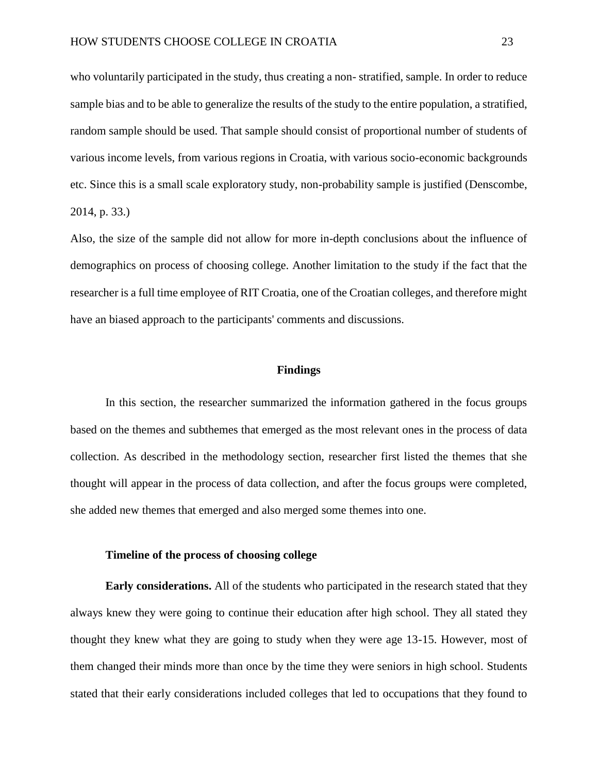who voluntarily participated in the study, thus creating a non- stratified, sample. In order to reduce sample bias and to be able to generalize the results of the study to the entire population, a stratified, random sample should be used. That sample should consist of proportional number of students of various income levels, from various regions in Croatia, with various socio-economic backgrounds etc. Since this is a small scale exploratory study, non-probability sample is justified (Denscombe, 2014, p. 33.)

Also, the size of the sample did not allow for more in-depth conclusions about the influence of demographics on process of choosing college. Another limitation to the study if the fact that the researcher is a full time employee of RIT Croatia, one of the Croatian colleges, and therefore might have an biased approach to the participants' comments and discussions.

#### **Findings**

<span id="page-23-0"></span>In this section, the researcher summarized the information gathered in the focus groups based on the themes and subthemes that emerged as the most relevant ones in the process of data collection. As described in the methodology section, researcher first listed the themes that she thought will appear in the process of data collection, and after the focus groups were completed, she added new themes that emerged and also merged some themes into one.

#### <span id="page-23-1"></span>**Timeline of the process of choosing college**

**Early considerations.** All of the students who participated in the research stated that they always knew they were going to continue their education after high school. They all stated they thought they knew what they are going to study when they were age 13-15. However, most of them changed their minds more than once by the time they were seniors in high school. Students stated that their early considerations included colleges that led to occupations that they found to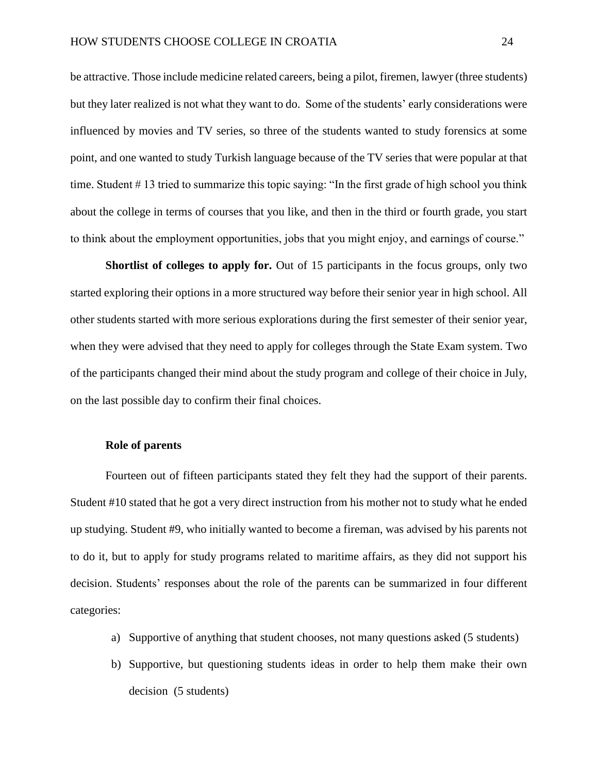be attractive. Those include medicine related careers, being a pilot, firemen, lawyer (three students) but they later realized is not what they want to do. Some of the students' early considerations were influenced by movies and TV series, so three of the students wanted to study forensics at some point, and one wanted to study Turkish language because of the TV series that were popular at that time. Student # 13 tried to summarize this topic saying: "In the first grade of high school you think about the college in terms of courses that you like, and then in the third or fourth grade, you start to think about the employment opportunities, jobs that you might enjoy, and earnings of course."

**Shortlist of colleges to apply for.** Out of 15 participants in the focus groups, only two started exploring their options in a more structured way before their senior year in high school. All other students started with more serious explorations during the first semester of their senior year, when they were advised that they need to apply for colleges through the State Exam system. Two of the participants changed their mind about the study program and college of their choice in July, on the last possible day to confirm their final choices.

#### <span id="page-24-0"></span>**Role of parents**

Fourteen out of fifteen participants stated they felt they had the support of their parents. Student #10 stated that he got a very direct instruction from his mother not to study what he ended up studying. Student #9, who initially wanted to become a fireman, was advised by his parents not to do it, but to apply for study programs related to maritime affairs, as they did not support his decision. Students' responses about the role of the parents can be summarized in four different categories:

- a) Supportive of anything that student chooses, not many questions asked (5 students)
- b) Supportive, but questioning students ideas in order to help them make their own decision (5 students)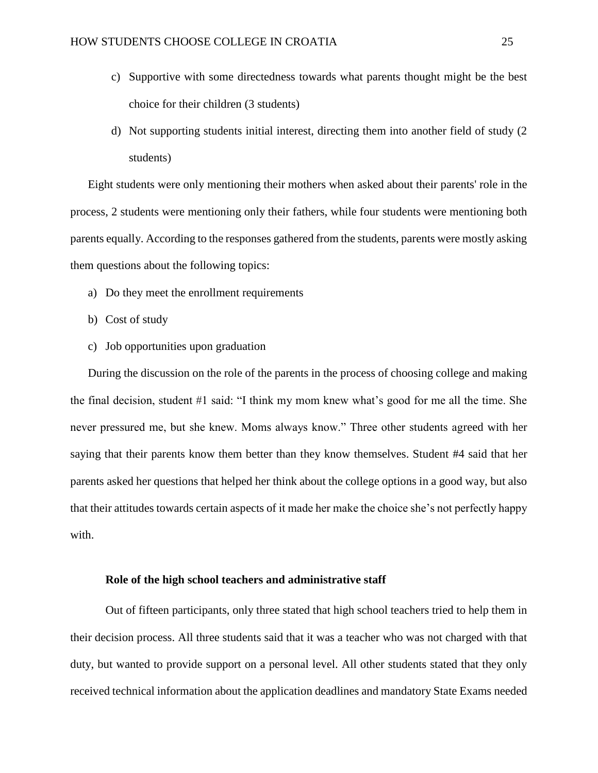- c) Supportive with some directedness towards what parents thought might be the best choice for their children (3 students)
- d) Not supporting students initial interest, directing them into another field of study (2 students)

Eight students were only mentioning their mothers when asked about their parents' role in the process, 2 students were mentioning only their fathers, while four students were mentioning both parents equally. According to the responses gathered from the students, parents were mostly asking them questions about the following topics:

- a) Do they meet the enrollment requirements
- b) Cost of study
- c) Job opportunities upon graduation

During the discussion on the role of the parents in the process of choosing college and making the final decision, student #1 said: "I think my mom knew what's good for me all the time. She never pressured me, but she knew. Moms always know." Three other students agreed with her saying that their parents know them better than they know themselves. Student #4 said that her parents asked her questions that helped her think about the college options in a good way, but also that their attitudes towards certain aspects of it made her make the choice she's not perfectly happy with.

#### <span id="page-25-0"></span>**Role of the high school teachers and administrative staff**

Out of fifteen participants, only three stated that high school teachers tried to help them in their decision process. All three students said that it was a teacher who was not charged with that duty, but wanted to provide support on a personal level. All other students stated that they only received technical information about the application deadlines and mandatory State Exams needed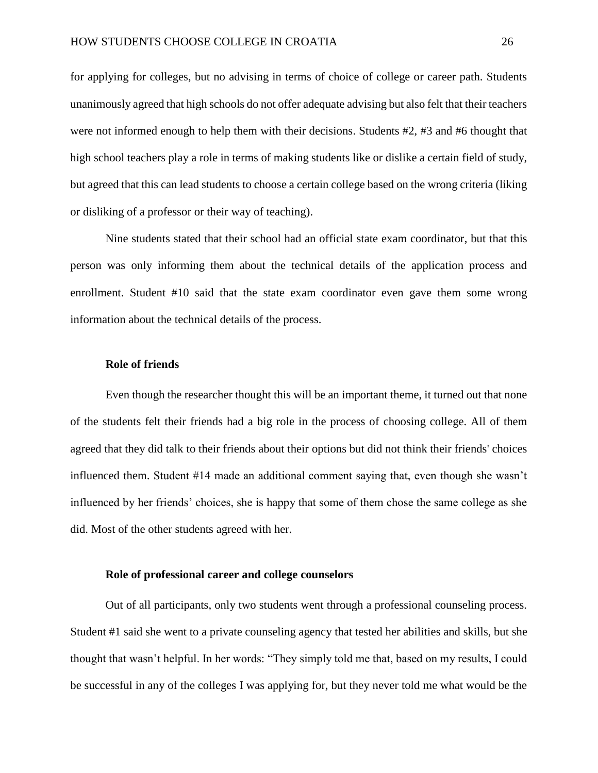for applying for colleges, but no advising in terms of choice of college or career path. Students unanimously agreed that high schools do not offer adequate advising but also felt that their teachers were not informed enough to help them with their decisions. Students #2, #3 and #6 thought that high school teachers play a role in terms of making students like or dislike a certain field of study, but agreed that this can lead students to choose a certain college based on the wrong criteria (liking or disliking of a professor or their way of teaching).

Nine students stated that their school had an official state exam coordinator, but that this person was only informing them about the technical details of the application process and enrollment. Student #10 said that the state exam coordinator even gave them some wrong information about the technical details of the process.

#### <span id="page-26-0"></span>**Role of friends**

Even though the researcher thought this will be an important theme, it turned out that none of the students felt their friends had a big role in the process of choosing college. All of them agreed that they did talk to their friends about their options but did not think their friends' choices influenced them. Student #14 made an additional comment saying that, even though she wasn't influenced by her friends' choices, she is happy that some of them chose the same college as she did. Most of the other students agreed with her.

#### <span id="page-26-1"></span>**Role of professional career and college counselors**

Out of all participants, only two students went through a professional counseling process. Student #1 said she went to a private counseling agency that tested her abilities and skills, but she thought that wasn't helpful. In her words: "They simply told me that, based on my results, I could be successful in any of the colleges I was applying for, but they never told me what would be the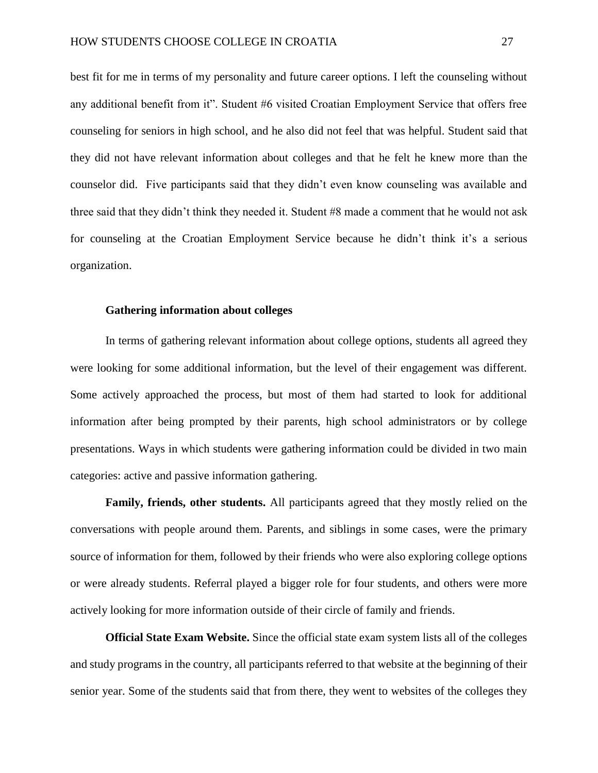best fit for me in terms of my personality and future career options. I left the counseling without any additional benefit from it". Student #6 visited Croatian Employment Service that offers free counseling for seniors in high school, and he also did not feel that was helpful. Student said that they did not have relevant information about colleges and that he felt he knew more than the counselor did. Five participants said that they didn't even know counseling was available and three said that they didn't think they needed it. Student #8 made a comment that he would not ask for counseling at the Croatian Employment Service because he didn't think it's a serious organization.

#### <span id="page-27-0"></span>**Gathering information about colleges**

In terms of gathering relevant information about college options, students all agreed they were looking for some additional information, but the level of their engagement was different. Some actively approached the process, but most of them had started to look for additional information after being prompted by their parents, high school administrators or by college presentations. Ways in which students were gathering information could be divided in two main categories: active and passive information gathering.

**Family, friends, other students.** All participants agreed that they mostly relied on the conversations with people around them. Parents, and siblings in some cases, were the primary source of information for them, followed by their friends who were also exploring college options or were already students. Referral played a bigger role for four students, and others were more actively looking for more information outside of their circle of family and friends.

**Official State Exam Website.** Since the official state exam system lists all of the colleges and study programs in the country, all participants referred to that website at the beginning of their senior year. Some of the students said that from there, they went to websites of the colleges they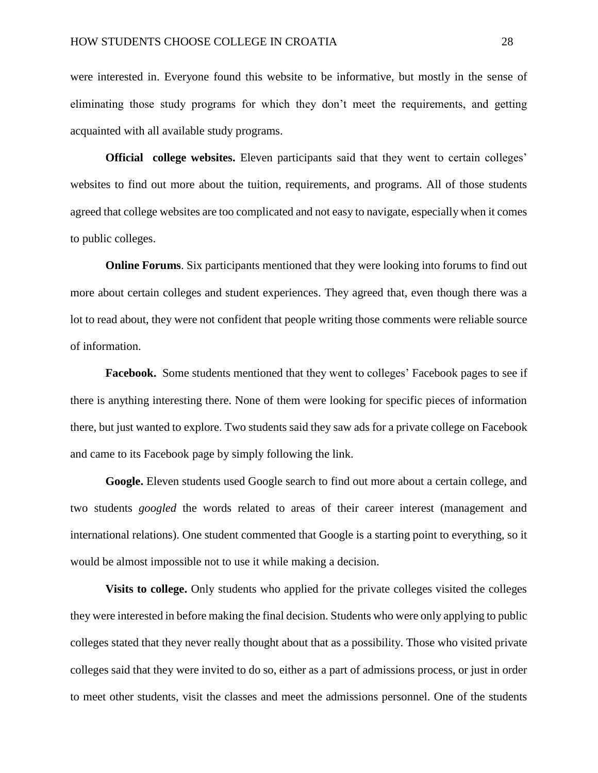were interested in. Everyone found this website to be informative, but mostly in the sense of eliminating those study programs for which they don't meet the requirements, and getting acquainted with all available study programs.

**Official college websites.** Eleven participants said that they went to certain colleges' websites to find out more about the tuition, requirements, and programs. All of those students agreed that college websites are too complicated and not easy to navigate, especially when it comes to public colleges.

**Online Forums**. Six participants mentioned that they were looking into forums to find out more about certain colleges and student experiences. They agreed that, even though there was a lot to read about, they were not confident that people writing those comments were reliable source of information.

**Facebook.** Some students mentioned that they went to colleges' Facebook pages to see if there is anything interesting there. None of them were looking for specific pieces of information there, but just wanted to explore. Two students said they saw ads for a private college on Facebook and came to its Facebook page by simply following the link.

**Google.** Eleven students used Google search to find out more about a certain college, and two students *googled* the words related to areas of their career interest (management and international relations). One student commented that Google is a starting point to everything, so it would be almost impossible not to use it while making a decision.

**Visits to college.** Only students who applied for the private colleges visited the colleges they were interested in before making the final decision. Students who were only applying to public colleges stated that they never really thought about that as a possibility. Those who visited private colleges said that they were invited to do so, either as a part of admissions process, or just in order to meet other students, visit the classes and meet the admissions personnel. One of the students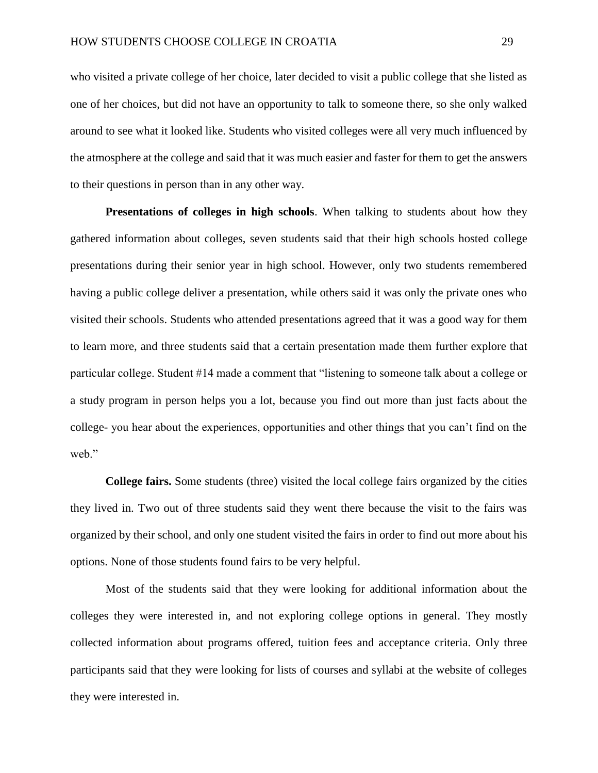who visited a private college of her choice, later decided to visit a public college that she listed as one of her choices, but did not have an opportunity to talk to someone there, so she only walked around to see what it looked like. Students who visited colleges were all very much influenced by the atmosphere at the college and said that it was much easier and faster for them to get the answers to their questions in person than in any other way.

**Presentations of colleges in high schools**. When talking to students about how they gathered information about colleges, seven students said that their high schools hosted college presentations during their senior year in high school. However, only two students remembered having a public college deliver a presentation, while others said it was only the private ones who visited their schools. Students who attended presentations agreed that it was a good way for them to learn more, and three students said that a certain presentation made them further explore that particular college. Student #14 made a comment that "listening to someone talk about a college or a study program in person helps you a lot, because you find out more than just facts about the college- you hear about the experiences, opportunities and other things that you can't find on the web."

**College fairs.** Some students (three) visited the local college fairs organized by the cities they lived in. Two out of three students said they went there because the visit to the fairs was organized by their school, and only one student visited the fairs in order to find out more about his options. None of those students found fairs to be very helpful.

Most of the students said that they were looking for additional information about the colleges they were interested in, and not exploring college options in general. They mostly collected information about programs offered, tuition fees and acceptance criteria. Only three participants said that they were looking for lists of courses and syllabi at the website of colleges they were interested in.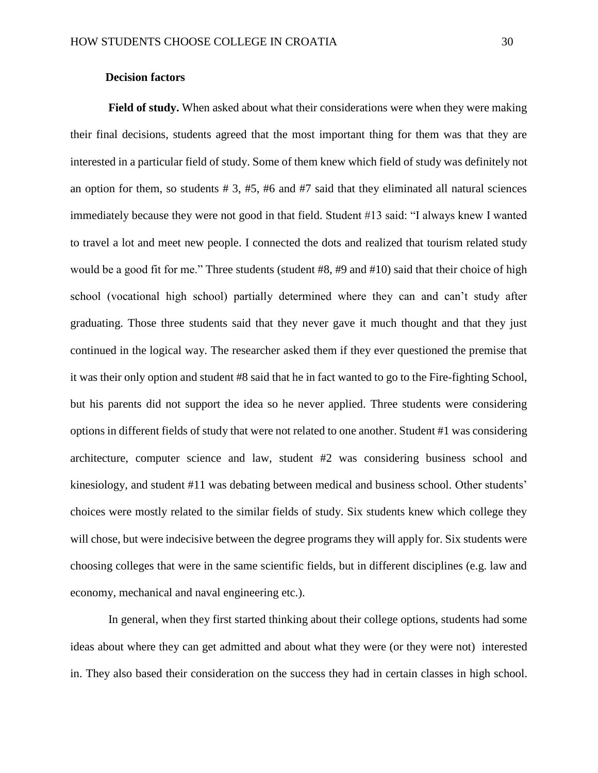#### **Decision factors**

<span id="page-30-0"></span>**Field of study.** When asked about what their considerations were when they were making their final decisions, students agreed that the most important thing for them was that they are interested in a particular field of study. Some of them knew which field of study was definitely not an option for them, so students  $# 3, #5, #6$  and  $#7$  said that they eliminated all natural sciences immediately because they were not good in that field. Student #13 said: "I always knew I wanted to travel a lot and meet new people. I connected the dots and realized that tourism related study would be a good fit for me." Three students (student #8, #9 and #10) said that their choice of high school (vocational high school) partially determined where they can and can't study after graduating. Those three students said that they never gave it much thought and that they just continued in the logical way. The researcher asked them if they ever questioned the premise that it was their only option and student #8 said that he in fact wanted to go to the Fire-fighting School, but his parents did not support the idea so he never applied. Three students were considering options in different fields of study that were not related to one another. Student #1 was considering architecture, computer science and law, student #2 was considering business school and kinesiology, and student #11 was debating between medical and business school. Other students' choices were mostly related to the similar fields of study. Six students knew which college they will chose, but were indecisive between the degree programs they will apply for. Six students were choosing colleges that were in the same scientific fields, but in different disciplines (e.g. law and economy, mechanical and naval engineering etc.).

In general, when they first started thinking about their college options, students had some ideas about where they can get admitted and about what they were (or they were not) interested in. They also based their consideration on the success they had in certain classes in high school.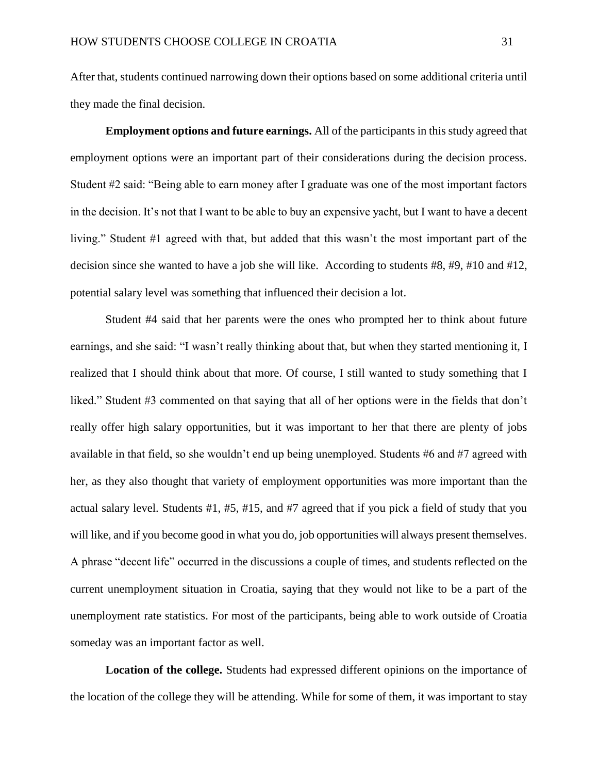After that, students continued narrowing down their options based on some additional criteria until they made the final decision.

**Employment options and future earnings.** All of the participants in this study agreed that employment options were an important part of their considerations during the decision process. Student #2 said: "Being able to earn money after I graduate was one of the most important factors in the decision. It's not that I want to be able to buy an expensive yacht, but I want to have a decent living." Student #1 agreed with that, but added that this wasn't the most important part of the decision since she wanted to have a job she will like. According to students #8, #9, #10 and #12, potential salary level was something that influenced their decision a lot.

Student #4 said that her parents were the ones who prompted her to think about future earnings, and she said: "I wasn't really thinking about that, but when they started mentioning it, I realized that I should think about that more. Of course, I still wanted to study something that I liked." Student #3 commented on that saying that all of her options were in the fields that don't really offer high salary opportunities, but it was important to her that there are plenty of jobs available in that field, so she wouldn't end up being unemployed. Students #6 and #7 agreed with her, as they also thought that variety of employment opportunities was more important than the actual salary level. Students #1, #5, #15, and #7 agreed that if you pick a field of study that you will like, and if you become good in what you do, job opportunities will always present themselves. A phrase "decent life" occurred in the discussions a couple of times, and students reflected on the current unemployment situation in Croatia, saying that they would not like to be a part of the unemployment rate statistics. For most of the participants, being able to work outside of Croatia someday was an important factor as well.

**Location of the college.** Students had expressed different opinions on the importance of the location of the college they will be attending. While for some of them, it was important to stay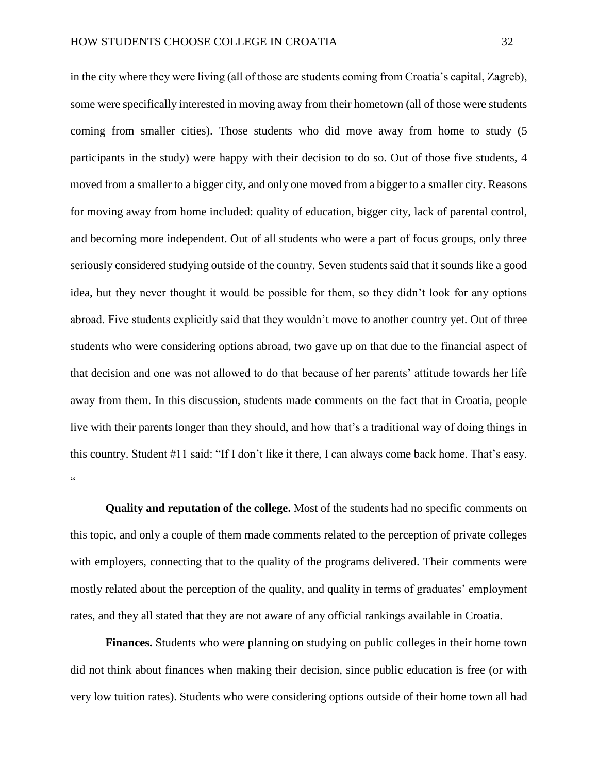in the city where they were living (all of those are students coming from Croatia's capital, Zagreb), some were specifically interested in moving away from their hometown (all of those were students coming from smaller cities). Those students who did move away from home to study (5 participants in the study) were happy with their decision to do so. Out of those five students, 4 moved from a smaller to a bigger city, and only one moved from a bigger to a smaller city. Reasons for moving away from home included: quality of education, bigger city, lack of parental control, and becoming more independent. Out of all students who were a part of focus groups, only three seriously considered studying outside of the country. Seven students said that it sounds like a good idea, but they never thought it would be possible for them, so they didn't look for any options abroad. Five students explicitly said that they wouldn't move to another country yet. Out of three students who were considering options abroad, two gave up on that due to the financial aspect of that decision and one was not allowed to do that because of her parents' attitude towards her life away from them. In this discussion, students made comments on the fact that in Croatia, people live with their parents longer than they should, and how that's a traditional way of doing things in this country. Student #11 said: "If I don't like it there, I can always come back home. That's easy. .<br>.

**Quality and reputation of the college.** Most of the students had no specific comments on this topic, and only a couple of them made comments related to the perception of private colleges with employers, connecting that to the quality of the programs delivered. Their comments were mostly related about the perception of the quality, and quality in terms of graduates' employment rates, and they all stated that they are not aware of any official rankings available in Croatia.

**Finances.** Students who were planning on studying on public colleges in their home town did not think about finances when making their decision, since public education is free (or with very low tuition rates). Students who were considering options outside of their home town all had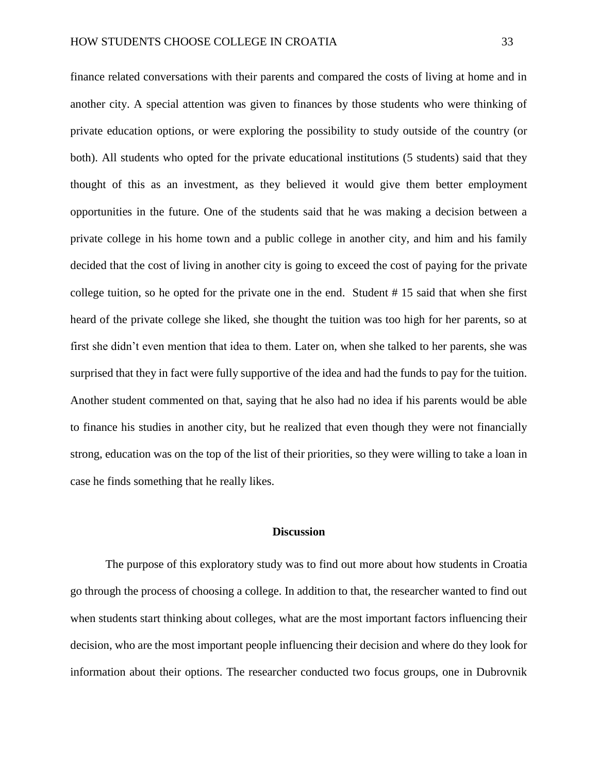finance related conversations with their parents and compared the costs of living at home and in another city. A special attention was given to finances by those students who were thinking of private education options, or were exploring the possibility to study outside of the country (or both). All students who opted for the private educational institutions (5 students) said that they thought of this as an investment, as they believed it would give them better employment opportunities in the future. One of the students said that he was making a decision between a private college in his home town and a public college in another city, and him and his family decided that the cost of living in another city is going to exceed the cost of paying for the private college tuition, so he opted for the private one in the end. Student # 15 said that when she first heard of the private college she liked, she thought the tuition was too high for her parents, so at first she didn't even mention that idea to them. Later on, when she talked to her parents, she was surprised that they in fact were fully supportive of the idea and had the funds to pay for the tuition. Another student commented on that, saying that he also had no idea if his parents would be able to finance his studies in another city, but he realized that even though they were not financially strong, education was on the top of the list of their priorities, so they were willing to take a loan in case he finds something that he really likes.

#### **Discussion**

<span id="page-33-0"></span>The purpose of this exploratory study was to find out more about how students in Croatia go through the process of choosing a college. In addition to that, the researcher wanted to find out when students start thinking about colleges, what are the most important factors influencing their decision, who are the most important people influencing their decision and where do they look for information about their options. The researcher conducted two focus groups, one in Dubrovnik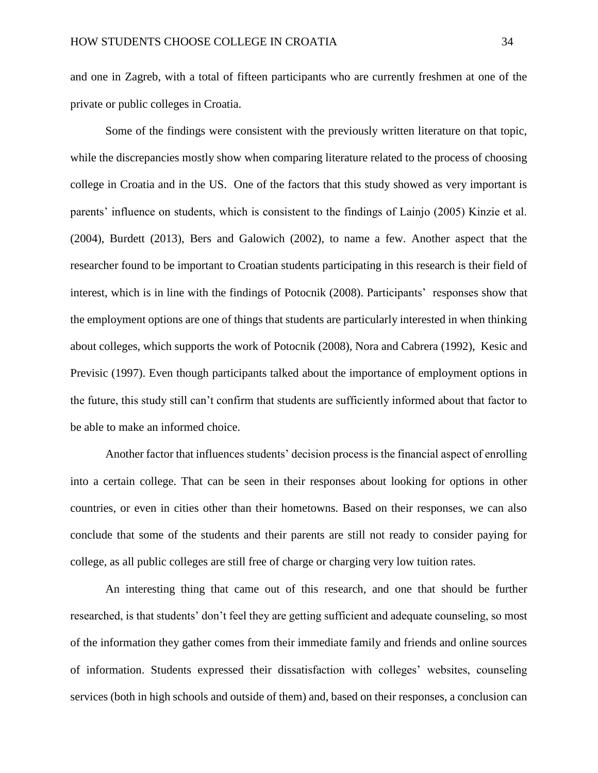and one in Zagreb, with a total of fifteen participants who are currently freshmen at one of the private or public colleges in Croatia.

Some of the findings were consistent with the previously written literature on that topic, while the discrepancies mostly show when comparing literature related to the process of choosing college in Croatia and in the US. One of the factors that this study showed as very important is parents' influence on students, which is consistent to the findings of Lainjo (2005) Kinzie et al. (2004), Burdett (2013), Bers and Galowich (2002), to name a few. Another aspect that the researcher found to be important to Croatian students participating in this research is their field of interest, which is in line with the findings of Potocnik (2008). Participants' responses show that the employment options are one of things that students are particularly interested in when thinking about colleges, which supports the work of Potocnik (2008), Nora and Cabrera (1992), Kesic and Previsic (1997). Even though participants talked about the importance of employment options in the future, this study still can't confirm that students are sufficiently informed about that factor to be able to make an informed choice.

Another factor that influences students' decision process is the financial aspect of enrolling into a certain college. That can be seen in their responses about looking for options in other countries, or even in cities other than their hometowns. Based on their responses, we can also conclude that some of the students and their parents are still not ready to consider paying for college, as all public colleges are still free of charge or charging very low tuition rates.

An interesting thing that came out of this research, and one that should be further researched, is that students' don't feel they are getting sufficient and adequate counseling, so most of the information they gather comes from their immediate family and friends and online sources of information. Students expressed their dissatisfaction with colleges' websites, counseling services (both in high schools and outside of them) and, based on their responses, a conclusion can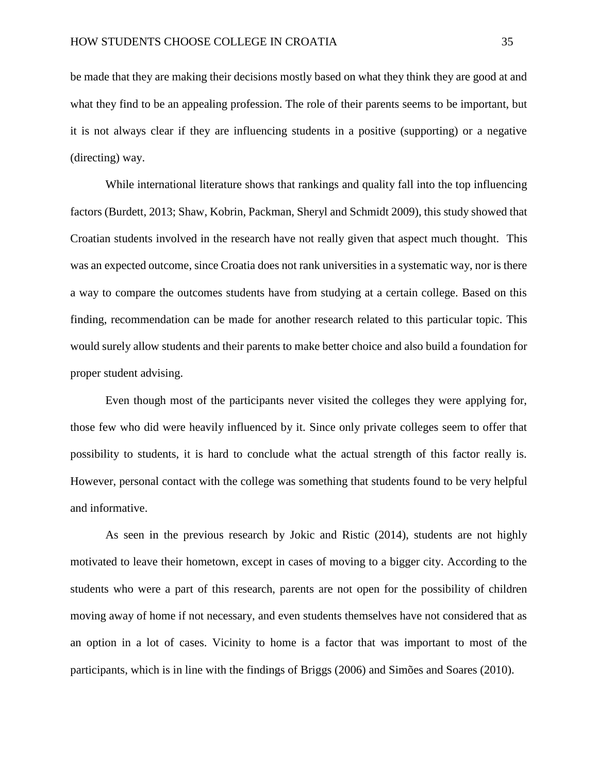be made that they are making their decisions mostly based on what they think they are good at and what they find to be an appealing profession. The role of their parents seems to be important, but it is not always clear if they are influencing students in a positive (supporting) or a negative (directing) way.

While international literature shows that rankings and quality fall into the top influencing factors (Burdett, 2013; Shaw, Kobrin, Packman, Sheryl and Schmidt 2009), this study showed that Croatian students involved in the research have not really given that aspect much thought. This was an expected outcome, since Croatia does not rank universities in a systematic way, nor is there a way to compare the outcomes students have from studying at a certain college. Based on this finding, recommendation can be made for another research related to this particular topic. This would surely allow students and their parents to make better choice and also build a foundation for proper student advising.

Even though most of the participants never visited the colleges they were applying for, those few who did were heavily influenced by it. Since only private colleges seem to offer that possibility to students, it is hard to conclude what the actual strength of this factor really is. However, personal contact with the college was something that students found to be very helpful and informative.

As seen in the previous research by Jokic and Ristic (2014), students are not highly motivated to leave their hometown, except in cases of moving to a bigger city. According to the students who were a part of this research, parents are not open for the possibility of children moving away of home if not necessary, and even students themselves have not considered that as an option in a lot of cases. Vicinity to home is a factor that was important to most of the participants, which is in line with the findings of Briggs (2006) and Simões and Soares (2010).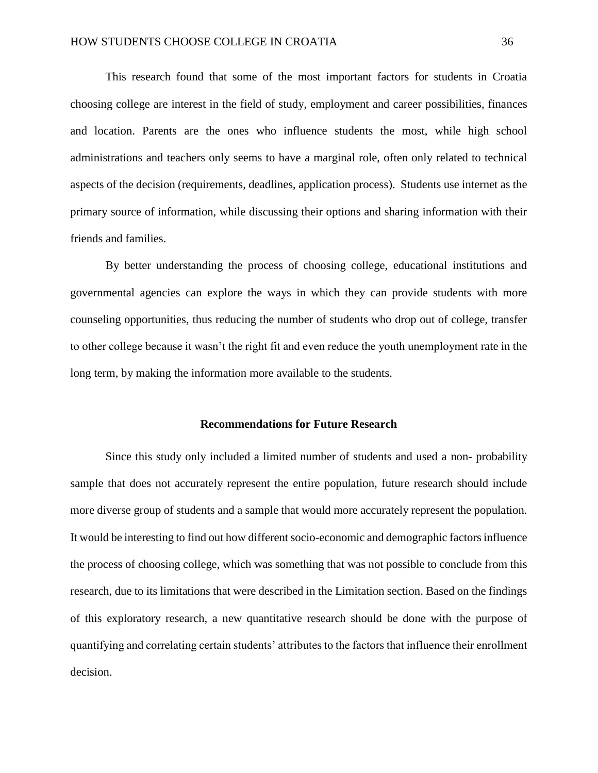This research found that some of the most important factors for students in Croatia choosing college are interest in the field of study, employment and career possibilities, finances and location. Parents are the ones who influence students the most, while high school administrations and teachers only seems to have a marginal role, often only related to technical aspects of the decision (requirements, deadlines, application process). Students use internet as the primary source of information, while discussing their options and sharing information with their friends and families.

By better understanding the process of choosing college, educational institutions and governmental agencies can explore the ways in which they can provide students with more counseling opportunities, thus reducing the number of students who drop out of college, transfer to other college because it wasn't the right fit and even reduce the youth unemployment rate in the long term, by making the information more available to the students.

#### **Recommendations for Future Research**

<span id="page-36-0"></span>Since this study only included a limited number of students and used a non- probability sample that does not accurately represent the entire population, future research should include more diverse group of students and a sample that would more accurately represent the population. It would be interesting to find out how different socio-economic and demographic factors influence the process of choosing college, which was something that was not possible to conclude from this research, due to its limitations that were described in the Limitation section. Based on the findings of this exploratory research, a new quantitative research should be done with the purpose of quantifying and correlating certain students' attributes to the factors that influence their enrollment decision.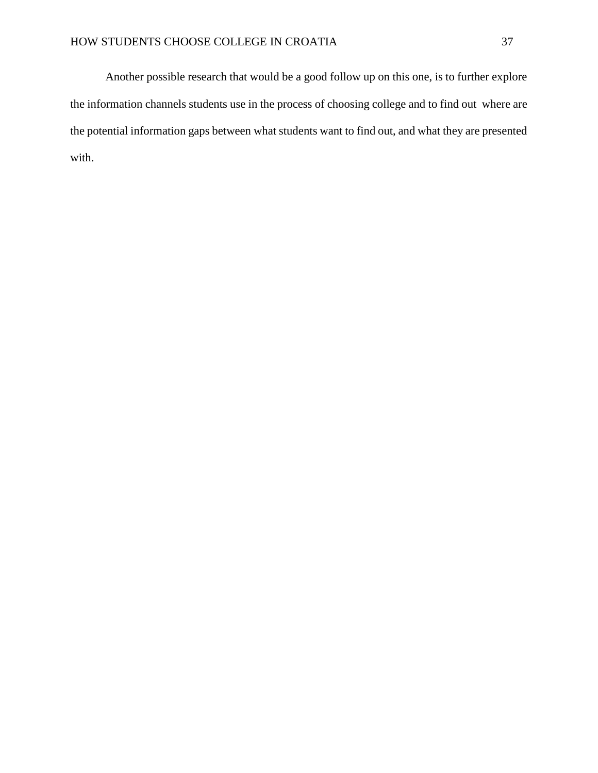Another possible research that would be a good follow up on this one, is to further explore the information channels students use in the process of choosing college and to find out where are the potential information gaps between what students want to find out, and what they are presented with.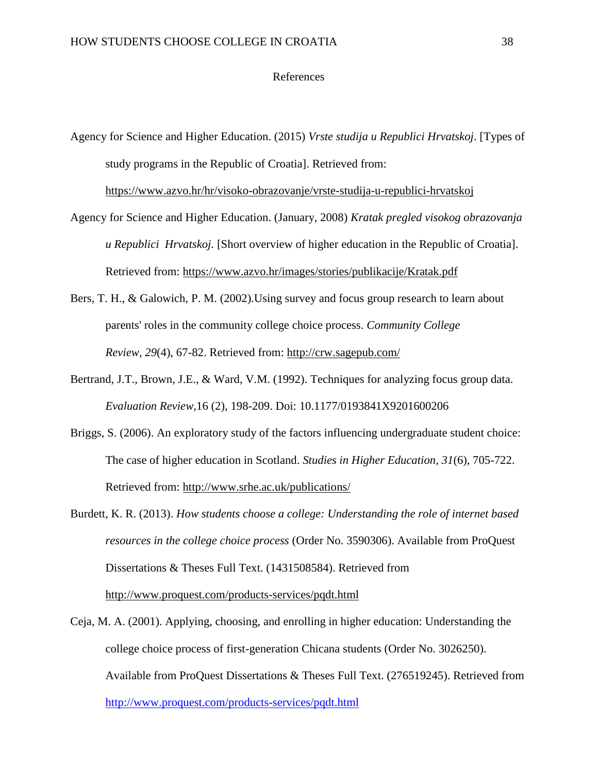#### References

<span id="page-38-0"></span>Agency for Science and Higher Education. (2015) *Vrste studija u Republici Hrvatskoj*. [Types of study programs in the Republic of Croatia]. Retrieved from:

<https://www.azvo.hr/hr/visoko-obrazovanje/vrste-studija-u-republici-hrvatskoj>

- Agency for Science and Higher Education. (January, 2008) *Kratak pregled visokog obrazovanja u Republici Hrvatskoj.* [Short overview of higher education in the Republic of Croatia]. Retrieved from:<https://www.azvo.hr/images/stories/publikacije/Kratak.pdf>
- Bers, T. H., & Galowich, P. M. (2002).Using survey and focus group research to learn about parents' roles in the community college choice process. *Community College Review, 29*(4), 67-82. Retrieved from: <http://crw.sagepub.com/>
- Bertrand, J.T., Brown, J.E., & Ward, V.M. (1992). Techniques for analyzing focus group data. *Evaluation Review,*16 (2), 198-209. Doi: 10.1177/0193841X9201600206
- Briggs, S. (2006). An exploratory study of the factors influencing undergraduate student choice: The case of higher education in Scotland. *Studies in Higher Education, 31*(6), 705-722. Retrieved from:<http://www.srhe.ac.uk/publications/>
- Burdett, K. R. (2013). *How students choose a college: Understanding the role of internet based resources in the college choice process* (Order No. 3590306). Available from ProQuest Dissertations & Theses Full Text. (1431508584). Retrieved from <http://www.proquest.com/products-services/pqdt.html>
- Ceja, M. A. (2001). Applying, choosing, and enrolling in higher education: Understanding the college choice process of first-generation Chicana students (Order No. 3026250). Available from ProQuest Dissertations & Theses Full Text. (276519245). Retrieved from <http://www.proquest.com/products-services/pqdt.html>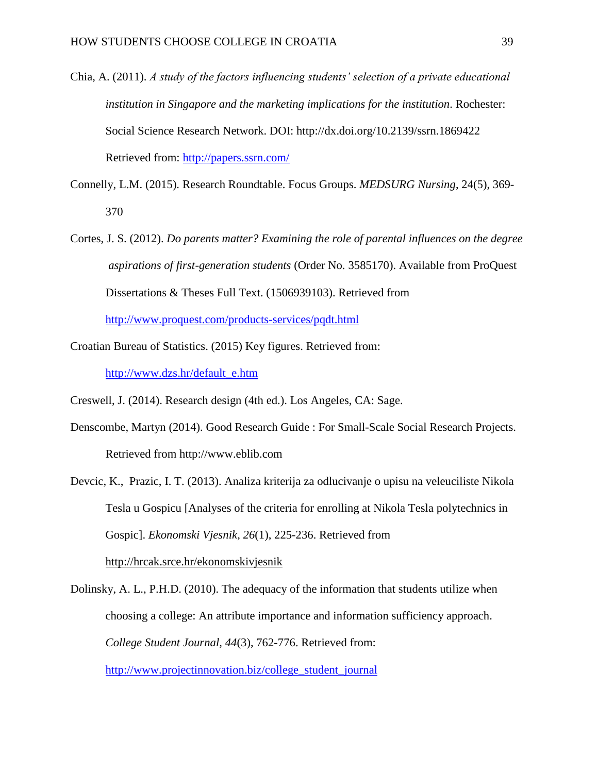- Chia, A. (2011). *A study of the factors influencing students' selection of a private educational institution in Singapore and the marketing implications for the institution*. Rochester: Social Science Research Network. DOI: http://dx.doi.org/10.2139/ssrn.1869422 Retrieved from:<http://papers.ssrn.com/>
- Connelly, L.M. (2015). Research Roundtable. Focus Groups. *MEDSURG Nursing*, 24(5), 369- 370
- Cortes, J. S. (2012). *Do parents matter? Examining the role of parental influences on the degree aspirations of first-generation students* (Order No. 3585170). Available from ProQuest Dissertations & Theses Full Text. (1506939103). Retrieved from

<http://www.proquest.com/products-services/pqdt.html>

Croatian Bureau of Statistics. (2015) Key figures. Retrieved from:

[http://www.dzs.hr/default\\_e.htm](http://www.dzs.hr/default_e.htm)

Creswell, J. (2014). Research design (4th ed.). Los Angeles, CA: Sage.

Denscombe, Martyn (2014). Good Research Guide : For Small-Scale Social Research Projects. Retrieved from http://www.eblib.com

Devcic, K., Prazic, I. T. (2013). Analiza kriterija za odlucivanje o upisu na veleuciliste Nikola Tesla u Gospicu [Analyses of the criteria for enrolling at Nikola Tesla polytechnics in Gospic]. *Ekonomski Vjesnik, 26*(1), 225-236. Retrieved from <http://hrcak.srce.hr/ekonomskivjesnik>

Dolinsky, A. L., P.H.D. (2010). The adequacy of the information that students utilize when choosing a college: An attribute importance and information sufficiency approach. *College Student Journal, 44*(3), 762-776. Retrieved from: [http://www.projectinnovation.biz/college\\_student\\_journal](http://www.projectinnovation.biz/college_student_journal)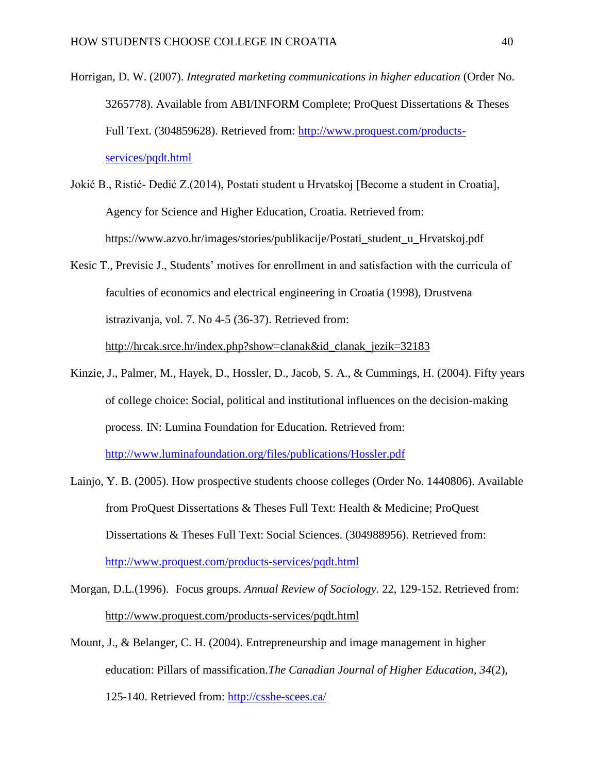- Horrigan, D. W. (2007). *Integrated marketing communications in higher education* (Order No. 3265778). Available from ABI/INFORM Complete; ProQuest Dissertations & Theses Full Text. (304859628). Retrieved from: [http://www.proquest.com/products](http://www.proquest.com/products-services/pqdt.html)[services/pqdt.html](http://www.proquest.com/products-services/pqdt.html)
- Jokić B., Ristić- Dedić Z.(2014), Postati student u Hrvatskoj [Become a student in Croatia], Agency for Science and Higher Education, Croatia. Retrieved from: [https://www.azvo.hr/images/stories/publikacije/Postati\\_student\\_u\\_Hrvatskoj.pdf](https://www.azvo.hr/images/stories/publikacije/Postati_student_u_Hrvatskoj.pdf)
- Kesic T., Previsic J., Students' motives for enrollment in and satisfaction with the curricula of faculties of economics and electrical engineering in Croatia (1998), Drustvena istrazivanja, vol. 7. No 4-5 (36-37). Retrieved from: [http://hrcak.srce.hr/index.php?show=clanak&id\\_clanak\\_jezik=32183](http://hrcak.srce.hr/index.php?show=clanak&id_clanak_jezik=32183)
- Kinzie, J., Palmer, M., Hayek, D., Hossler, D., Jacob, S. A., & Cummings, H. (2004). Fifty years of college choice: Social, political and institutional influences on the decision-making process*.* IN: Lumina Foundation for Education. Retrieved from: <http://www.luminafoundation.org/files/publications/Hossler.pdf>
- Lainjo, Y. B. (2005). How prospective students choose colleges (Order No. 1440806). Available from ProQuest Dissertations & Theses Full Text: Health & Medicine; ProQuest Dissertations & Theses Full Text: Social Sciences. (304988956). Retrieved from: <http://www.proquest.com/products-services/pqdt.html>
- Morgan, D.L.(1996). Focus groups. *Annual Review of Sociology.* 22, 129-152. Retrieved from: <http://www.proquest.com/products-services/pqdt.html>
- Mount, J., & Belanger, C. H. (2004). Entrepreneurship and image management in higher education: Pillars of massification.*The Canadian Journal of Higher Education, 34*(2), 125-140. Retrieved from:<http://csshe-scees.ca/>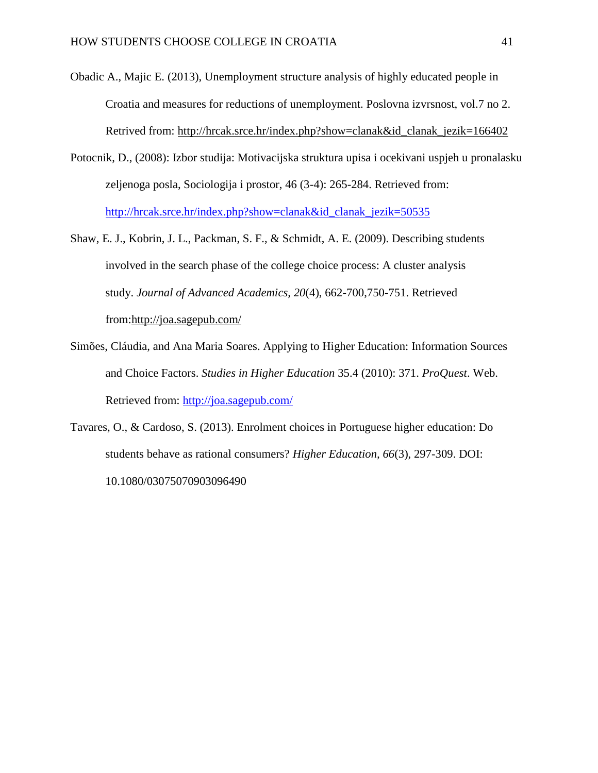- Obadic A., Majic E. (2013), Unemployment structure analysis of highly educated people in Croatia and measures for reductions of unemployment. Poslovna izvrsnost, vol.7 no 2. Retrived from: [http://hrcak.srce.hr/index.php?show=clanak&id\\_clanak\\_jezik=166402](http://hrcak.srce.hr/index.php?show=clanak&id_clanak_jezik=166402)
- Potocnik, D., (2008): Izbor studija: Motivacijska struktura upisa i ocekivani uspjeh u pronalasku zeljenoga posla, Sociologija i prostor, 46 (3-4): 265-284. Retrieved from: [http://hrcak.srce.hr/index.php?show=clanak&id\\_clanak\\_jezik=50535](http://hrcak.srce.hr/index.php?show=clanak&id_clanak_jezik=50535)
- Shaw, E. J., Kobrin, J. L., Packman, S. F., & Schmidt, A. E. (2009). Describing students involved in the search phase of the college choice process: A cluster analysis study. *Journal of Advanced Academics, 20*(4), 662-700,750-751. Retrieved from[:http://joa.sagepub.com/](http://joa.sagepub.com/)
- Simões, Cláudia, and Ana Maria Soares. Applying to Higher Education: Information Sources and Choice Factors. *Studies in Higher Education* 35.4 (2010): 371. *ProQuest*. Web. Retrieved from:<http://joa.sagepub.com/>
- Tavares, O., & Cardoso, S. (2013). Enrolment choices in Portuguese higher education: Do students behave as rational consumers? *Higher Education, 66*(3), 297-309. DOI: 10.1080/03075070903096490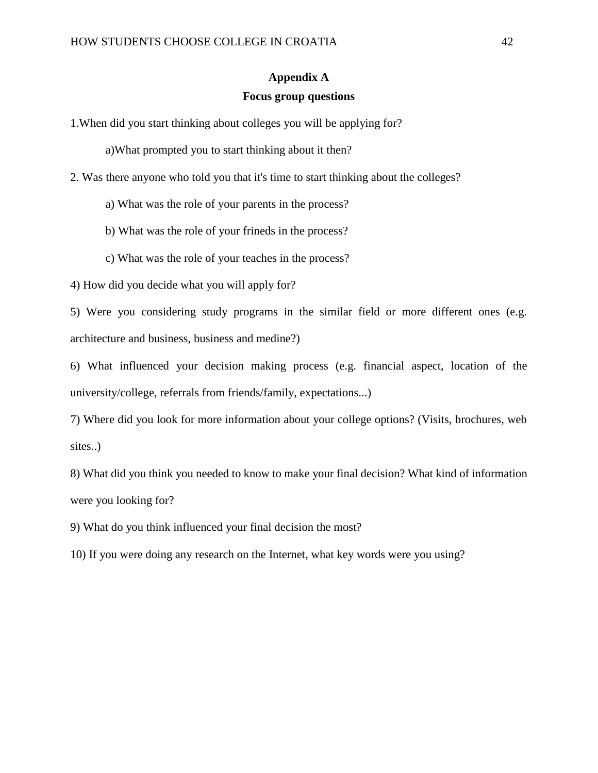#### **Appendix A**

#### **Focus group questions**

<span id="page-42-0"></span>1.When did you start thinking about colleges you will be applying for?

a)What prompted you to start thinking about it then?

- 2. Was there anyone who told you that it's time to start thinking about the colleges?
	- a) What was the role of your parents in the process?
	- b) What was the role of your frineds in the process?
	- c) What was the role of your teaches in the process?

4) How did you decide what you will apply for?

5) Were you considering study programs in the similar field or more different ones (e.g. architecture and business, business and medine?)

6) What influenced your decision making process (e.g. financial aspect, location of the university/college, referrals from friends/family, expectations...)

7) Where did you look for more information about your college options? (Visits, brochures, web sites..)

8) What did you think you needed to know to make your final decision? What kind of information were you looking for?

9) What do you think influenced your final decision the most?

10) If you were doing any research on the Internet, what key words were you using?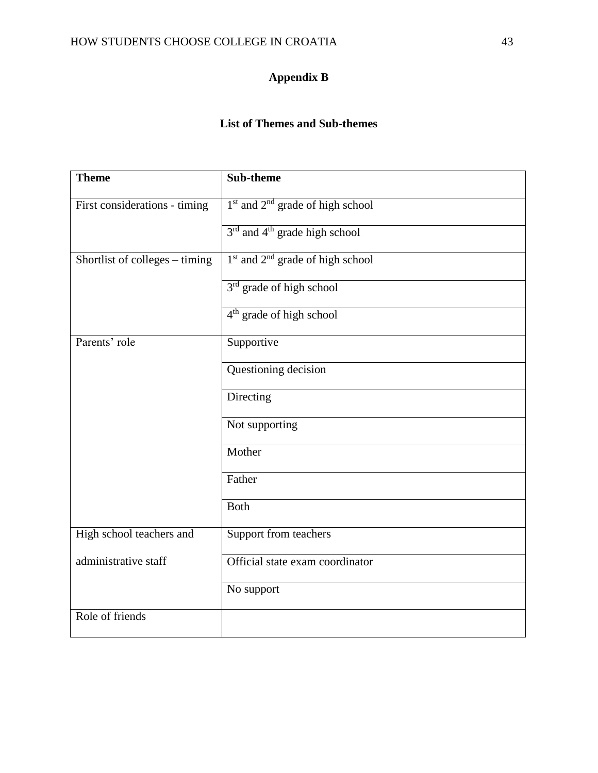### **Appendix B**

#### **List of Themes and Sub-themes**

<span id="page-43-0"></span>

| <b>Theme</b>                   | Sub-theme                                                |
|--------------------------------|----------------------------------------------------------|
| First considerations - timing  | $1st$ and $2nd$ grade of high school                     |
|                                | 3 <sup>rd</sup> and 4 <sup>th</sup> grade high school    |
| Shortlist of colleges – timing | 1 <sup>st</sup> and 2 <sup>nd</sup> grade of high school |
|                                | 3 <sup>rd</sup> grade of high school                     |
|                                | 4 <sup>th</sup> grade of high school                     |
| Parents' role                  | Supportive                                               |
|                                | Questioning decision                                     |
|                                | Directing                                                |
|                                | Not supporting                                           |
|                                | Mother                                                   |
|                                | Father                                                   |
|                                | <b>Both</b>                                              |
| High school teachers and       | Support from teachers                                    |
| administrative staff           | Official state exam coordinator                          |
|                                | No support                                               |
| Role of friends                |                                                          |